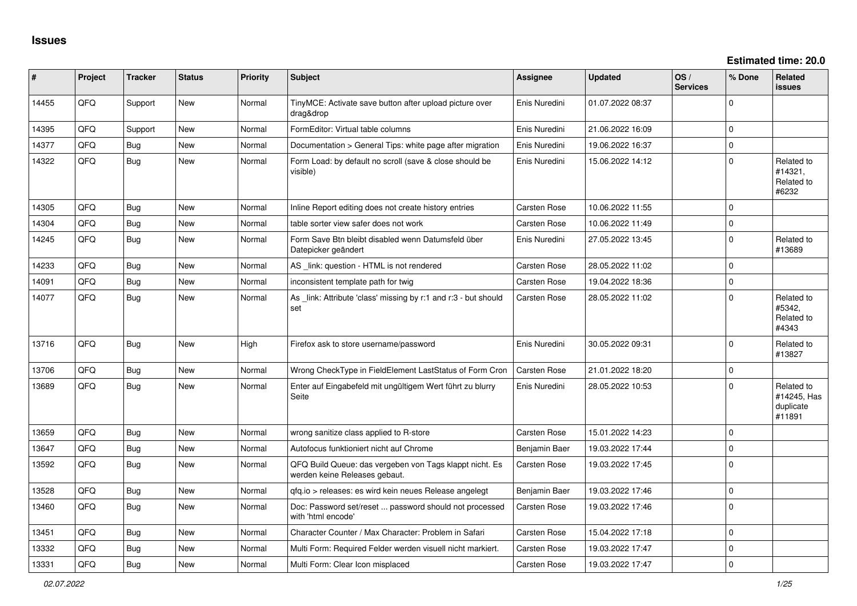| #     | Project | <b>Tracker</b> | <b>Status</b> | <b>Priority</b> | <b>Subject</b>                                                                           | <b>Assignee</b>     | <b>Updated</b>   | OS/<br><b>Services</b> | % Done      | Related<br><b>issues</b>                         |
|-------|---------|----------------|---------------|-----------------|------------------------------------------------------------------------------------------|---------------------|------------------|------------------------|-------------|--------------------------------------------------|
| 14455 | QFQ     | Support        | New           | Normal          | TinyMCE: Activate save button after upload picture over<br>drag&drop                     | Enis Nuredini       | 01.07.2022 08:37 |                        | $\Omega$    |                                                  |
| 14395 | QFQ     | Support        | New           | Normal          | FormEditor: Virtual table columns                                                        | Enis Nuredini       | 21.06.2022 16:09 |                        | $\Omega$    |                                                  |
| 14377 | QFQ     | <b>Bug</b>     | <b>New</b>    | Normal          | Documentation > General Tips: white page after migration                                 | Enis Nuredini       | 19.06.2022 16:37 |                        | $\mathbf 0$ |                                                  |
| 14322 | QFQ     | Bug            | New           | Normal          | Form Load: by default no scroll (save & close should be<br>visible)                      | Enis Nuredini       | 15.06.2022 14:12 |                        | $\mathbf 0$ | Related to<br>#14321,<br>Related to<br>#6232     |
| 14305 | QFQ     | Bug            | <b>New</b>    | Normal          | Inline Report editing does not create history entries                                    | Carsten Rose        | 10.06.2022 11:55 |                        | $\mathbf 0$ |                                                  |
| 14304 | QFQ     | Bug            | New           | Normal          | table sorter view safer does not work                                                    | Carsten Rose        | 10.06.2022 11:49 |                        | $\mathbf 0$ |                                                  |
| 14245 | QFQ     | Bug            | <b>New</b>    | Normal          | Form Save Btn bleibt disabled wenn Datumsfeld über<br>Datepicker geändert                | Enis Nuredini       | 27.05.2022 13:45 |                        | $\mathbf 0$ | Related to<br>#13689                             |
| 14233 | QFQ     | Bug            | New           | Normal          | AS _link: question - HTML is not rendered                                                | <b>Carsten Rose</b> | 28.05.2022 11:02 |                        | $\mathbf 0$ |                                                  |
| 14091 | QFQ     | Bug            | New           | Normal          | inconsistent template path for twig                                                      | Carsten Rose        | 19.04.2022 18:36 |                        | $\mathbf 0$ |                                                  |
| 14077 | QFQ     | Bug            | New           | Normal          | As _link: Attribute 'class' missing by r:1 and r:3 - but should<br>set                   | <b>Carsten Rose</b> | 28.05.2022 11:02 |                        | $\Omega$    | Related to<br>#5342,<br>Related to<br>#4343      |
| 13716 | QFQ     | Bug            | New           | High            | Firefox ask to store username/password                                                   | Enis Nuredini       | 30.05.2022 09:31 |                        | $\mathbf 0$ | Related to<br>#13827                             |
| 13706 | QFQ     | Bug            | New           | Normal          | Wrong CheckType in FieldElement LastStatus of Form Cron                                  | Carsten Rose        | 21.01.2022 18:20 |                        | $\Omega$    |                                                  |
| 13689 | QFQ     | Bug            | New           | Normal          | Enter auf Eingabefeld mit ungültigem Wert führt zu blurry<br>Seite                       | Enis Nuredini       | 28.05.2022 10:53 |                        | $\mathbf 0$ | Related to<br>#14245, Has<br>duplicate<br>#11891 |
| 13659 | QFQ     | Bug            | New           | Normal          | wrong sanitize class applied to R-store                                                  | <b>Carsten Rose</b> | 15.01.2022 14:23 |                        | $\mathbf 0$ |                                                  |
| 13647 | QFQ     | Bug            | New           | Normal          | Autofocus funktioniert nicht auf Chrome                                                  | Benjamin Baer       | 19.03.2022 17:44 |                        | $\mathbf 0$ |                                                  |
| 13592 | QFQ     | Bug            | New           | Normal          | QFQ Build Queue: das vergeben von Tags klappt nicht. Es<br>werden keine Releases gebaut. | <b>Carsten Rose</b> | 19.03.2022 17:45 |                        | $\Omega$    |                                                  |
| 13528 | QFQ     | Bug            | New           | Normal          | qfq.io > releases: es wird kein neues Release angelegt                                   | Benjamin Baer       | 19.03.2022 17:46 |                        | $\mathbf 0$ |                                                  |
| 13460 | QFQ     | Bug            | New           | Normal          | Doc: Password set/reset  password should not processed<br>with 'html encode'             | Carsten Rose        | 19.03.2022 17:46 |                        | $\mathbf 0$ |                                                  |
| 13451 | QFQ     | Bug            | New           | Normal          | Character Counter / Max Character: Problem in Safari                                     | <b>Carsten Rose</b> | 15.04.2022 17:18 |                        | $\mathbf 0$ |                                                  |
| 13332 | QFQ     | Bug            | New           | Normal          | Multi Form: Required Felder werden visuell nicht markiert.                               | Carsten Rose        | 19.03.2022 17:47 |                        | $\mathbf 0$ |                                                  |
| 13331 | QFQ     | Bug            | New           | Normal          | Multi Form: Clear Icon misplaced                                                         | <b>Carsten Rose</b> | 19.03.2022 17:47 |                        | $\Omega$    |                                                  |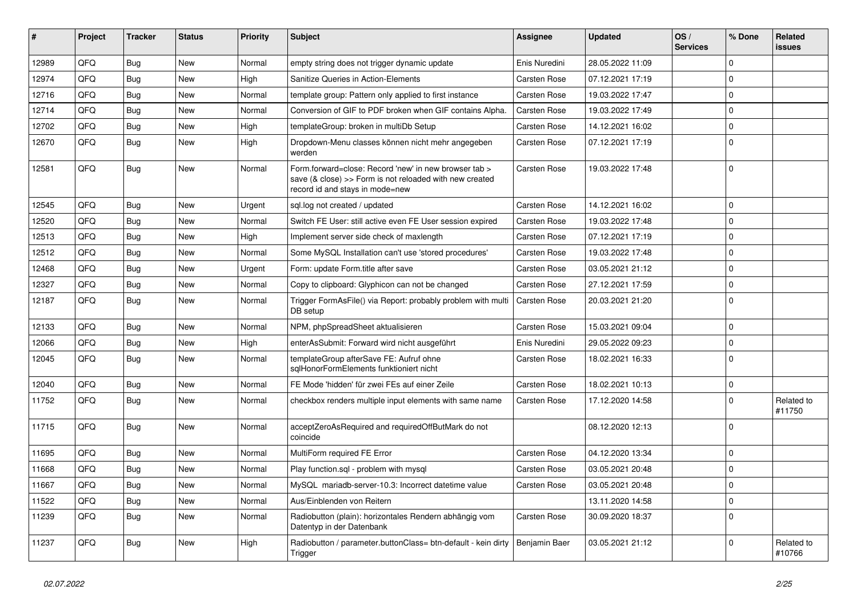| #     | Project | <b>Tracker</b> | <b>Status</b> | <b>Priority</b> | Subject                                                                                                                                             | Assignee            | <b>Updated</b>   | OS/<br><b>Services</b> | % Done      | Related<br><b>issues</b> |
|-------|---------|----------------|---------------|-----------------|-----------------------------------------------------------------------------------------------------------------------------------------------------|---------------------|------------------|------------------------|-------------|--------------------------|
| 12989 | QFQ     | Bug            | New           | Normal          | empty string does not trigger dynamic update                                                                                                        | Enis Nuredini       | 28.05.2022 11:09 |                        | $\Omega$    |                          |
| 12974 | QFQ     | Bug            | New           | High            | Sanitize Queries in Action-Elements                                                                                                                 | Carsten Rose        | 07.12.2021 17:19 |                        | $\mathbf 0$ |                          |
| 12716 | QFQ     | <b>Bug</b>     | New           | Normal          | template group: Pattern only applied to first instance                                                                                              | <b>Carsten Rose</b> | 19.03.2022 17:47 |                        | $\Omega$    |                          |
| 12714 | QFQ     | Bug            | New           | Normal          | Conversion of GIF to PDF broken when GIF contains Alpha.                                                                                            | <b>Carsten Rose</b> | 19.03.2022 17:49 |                        | $\mathbf 0$ |                          |
| 12702 | QFQ     | Bug            | New           | High            | templateGroup: broken in multiDb Setup                                                                                                              | Carsten Rose        | 14.12.2021 16:02 |                        | $\mathbf 0$ |                          |
| 12670 | QFQ     | Bug            | New           | High            | Dropdown-Menu classes können nicht mehr angegeben<br>werden                                                                                         | Carsten Rose        | 07.12.2021 17:19 |                        | $\Omega$    |                          |
| 12581 | QFQ     | <b>Bug</b>     | New           | Normal          | Form forward=close: Record 'new' in new browser tab ><br>save (& close) >> Form is not reloaded with new created<br>record id and stays in mode=new | <b>Carsten Rose</b> | 19.03.2022 17:48 |                        | $\Omega$    |                          |
| 12545 | QFQ     | Bug            | <b>New</b>    | Urgent          | sql.log not created / updated                                                                                                                       | <b>Carsten Rose</b> | 14.12.2021 16:02 |                        | $\Omega$    |                          |
| 12520 | QFQ     | Bug            | New           | Normal          | Switch FE User: still active even FE User session expired                                                                                           | <b>Carsten Rose</b> | 19.03.2022 17:48 |                        | $\mathbf 0$ |                          |
| 12513 | QFQ     | Bug            | New           | High            | Implement server side check of maxlength                                                                                                            | <b>Carsten Rose</b> | 07.12.2021 17:19 |                        | $\mathbf 0$ |                          |
| 12512 | QFQ     | Bug            | New           | Normal          | Some MySQL Installation can't use 'stored procedures'                                                                                               | Carsten Rose        | 19.03.2022 17:48 |                        | $\mathbf 0$ |                          |
| 12468 | QFQ     | Bug            | New           | Urgent          | Form: update Form.title after save                                                                                                                  | <b>Carsten Rose</b> | 03.05.2021 21:12 |                        | $\mathbf 0$ |                          |
| 12327 | QFQ     | <b>Bug</b>     | New           | Normal          | Copy to clipboard: Glyphicon can not be changed                                                                                                     | <b>Carsten Rose</b> | 27.12.2021 17:59 |                        | $\mathbf 0$ |                          |
| 12187 | QFQ     | Bug            | New           | Normal          | Trigger FormAsFile() via Report: probably problem with multi<br>DB setup                                                                            | Carsten Rose        | 20.03.2021 21:20 |                        | $\Omega$    |                          |
| 12133 | QFQ     | Bug            | New           | Normal          | NPM, phpSpreadSheet aktualisieren                                                                                                                   | <b>Carsten Rose</b> | 15.03.2021 09:04 |                        | $\mathbf 0$ |                          |
| 12066 | QFQ     | Bug            | New           | High            | enterAsSubmit: Forward wird nicht ausgeführt                                                                                                        | Enis Nuredini       | 29.05.2022 09:23 |                        | $\Omega$    |                          |
| 12045 | QFQ     | <b>Bug</b>     | New           | Normal          | templateGroup afterSave FE: Aufruf ohne<br>sqlHonorFormElements funktioniert nicht                                                                  | Carsten Rose        | 18.02.2021 16:33 |                        | $\Omega$    |                          |
| 12040 | QFQ     | Bug            | <b>New</b>    | Normal          | FE Mode 'hidden' für zwei FEs auf einer Zeile                                                                                                       | <b>Carsten Rose</b> | 18.02.2021 10:13 |                        | $\mathbf 0$ |                          |
| 11752 | QFQ     | <b>Bug</b>     | New           | Normal          | checkbox renders multiple input elements with same name                                                                                             | Carsten Rose        | 17.12.2020 14:58 |                        | $\Omega$    | Related to<br>#11750     |
| 11715 | QFQ     | Bug            | New           | Normal          | acceptZeroAsRequired and requiredOffButMark do not<br>coincide                                                                                      |                     | 08.12.2020 12:13 |                        | $\mathbf 0$ |                          |
| 11695 | QFQ     | Bug            | New           | Normal          | MultiForm required FE Error                                                                                                                         | <b>Carsten Rose</b> | 04.12.2020 13:34 |                        | $\mathbf 0$ |                          |
| 11668 | QFQ     | Bug            | New           | Normal          | Play function.sql - problem with mysql                                                                                                              | Carsten Rose        | 03.05.2021 20:48 |                        | $\mathbf 0$ |                          |
| 11667 | QFG     | Bug            | New           | Normal          | MySQL mariadb-server-10.3: Incorrect datetime value                                                                                                 | Carsten Rose        | 03.05.2021 20:48 |                        | $\mathbf 0$ |                          |
| 11522 | QFQ     | <b>Bug</b>     | New           | Normal          | Aus/Einblenden von Reitern                                                                                                                          |                     | 13.11.2020 14:58 |                        | $\mathbf 0$ |                          |
| 11239 | QFQ     | <b>Bug</b>     | New           | Normal          | Radiobutton (plain): horizontales Rendern abhängig vom<br>Datentyp in der Datenbank                                                                 | Carsten Rose        | 30.09.2020 18:37 |                        | $\mathbf 0$ |                          |
| 11237 | QFQ     | Bug            | New           | High            | Radiobutton / parameter.buttonClass= btn-default - kein dirty<br>Trigger                                                                            | Benjamin Baer       | 03.05.2021 21:12 |                        | $\pmb{0}$   | Related to<br>#10766     |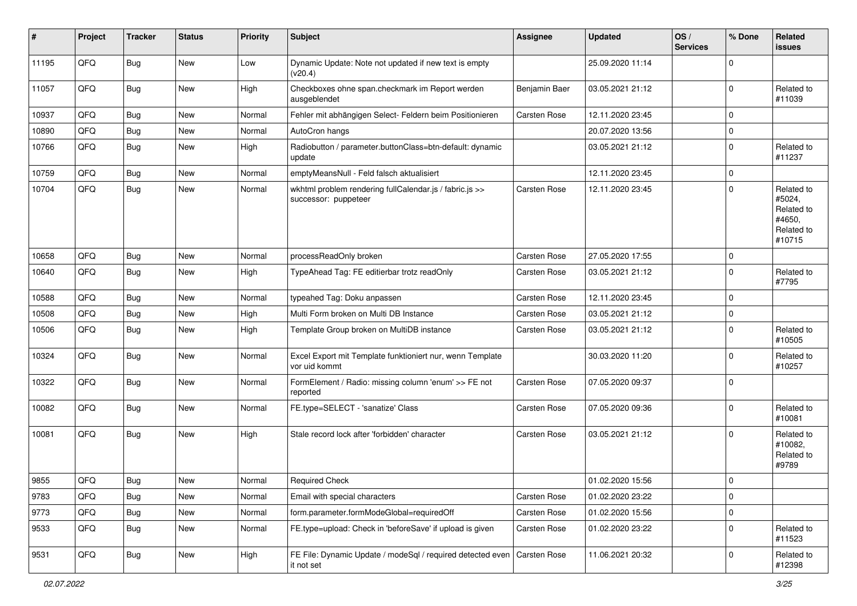| #     | Project | <b>Tracker</b> | <b>Status</b> | Priority | <b>Subject</b>                                                                  | Assignee            | <b>Updated</b>   | OS/<br><b>Services</b> | % Done      | Related<br>issues                                                    |
|-------|---------|----------------|---------------|----------|---------------------------------------------------------------------------------|---------------------|------------------|------------------------|-------------|----------------------------------------------------------------------|
| 11195 | QFQ     | <b>Bug</b>     | New           | Low      | Dynamic Update: Note not updated if new text is empty<br>(v20.4)                |                     | 25.09.2020 11:14 |                        | $\Omega$    |                                                                      |
| 11057 | QFQ     | Bug            | <b>New</b>    | High     | Checkboxes ohne span.checkmark im Report werden<br>ausgeblendet                 | Benjamin Baer       | 03.05.2021 21:12 |                        | $\Omega$    | Related to<br>#11039                                                 |
| 10937 | QFQ     | <b>Bug</b>     | New           | Normal   | Fehler mit abhängigen Select- Feldern beim Positionieren                        | <b>Carsten Rose</b> | 12.11.2020 23:45 |                        | $\Omega$    |                                                                      |
| 10890 | QFQ     | <b>Bug</b>     | New           | Normal   | AutoCron hangs                                                                  |                     | 20.07.2020 13:56 |                        | $\Omega$    |                                                                      |
| 10766 | QFQ     | <b>Bug</b>     | New           | High     | Radiobutton / parameter.buttonClass=btn-default: dynamic<br>update              |                     | 03.05.2021 21:12 |                        | $\Omega$    | Related to<br>#11237                                                 |
| 10759 | QFQ     | Bug            | New           | Normal   | emptyMeansNull - Feld falsch aktualisiert                                       |                     | 12.11.2020 23:45 |                        | $\Omega$    |                                                                      |
| 10704 | QFQ     | <b>Bug</b>     | New           | Normal   | wkhtml problem rendering fullCalendar.js / fabric.js >><br>successor: puppeteer | <b>Carsten Rose</b> | 12.11.2020 23:45 |                        | $\Omega$    | Related to<br>#5024,<br>Related to<br>#4650,<br>Related to<br>#10715 |
| 10658 | QFQ     | <b>Bug</b>     | New           | Normal   | processReadOnly broken                                                          | <b>Carsten Rose</b> | 27.05.2020 17:55 |                        | $\Omega$    |                                                                      |
| 10640 | QFQ     | Bug            | New           | High     | TypeAhead Tag: FE editierbar trotz readOnly                                     | Carsten Rose        | 03.05.2021 21:12 |                        | $\Omega$    | Related to<br>#7795                                                  |
| 10588 | QFQ     | <b>Bug</b>     | New           | Normal   | typeahed Tag: Doku anpassen                                                     | <b>Carsten Rose</b> | 12.11.2020 23:45 |                        | $\Omega$    |                                                                      |
| 10508 | QFQ     | <b>Bug</b>     | New           | High     | Multi Form broken on Multi DB Instance                                          | Carsten Rose        | 03.05.2021 21:12 |                        | $\Omega$    |                                                                      |
| 10506 | QFQ     | Bug            | New           | High     | Template Group broken on MultiDB instance                                       | Carsten Rose        | 03.05.2021 21:12 |                        | $\Omega$    | Related to<br>#10505                                                 |
| 10324 | QFQ     | Bug            | New           | Normal   | Excel Export mit Template funktioniert nur, wenn Template<br>vor uid kommt      |                     | 30.03.2020 11:20 |                        | $\Omega$    | Related to<br>#10257                                                 |
| 10322 | QFQ     | Bug            | <b>New</b>    | Normal   | FormElement / Radio: missing column 'enum' >> FE not<br>reported                | Carsten Rose        | 07.05.2020 09:37 |                        | $\Omega$    |                                                                      |
| 10082 | QFQ     | <b>Bug</b>     | New           | Normal   | FE.type=SELECT - 'sanatize' Class                                               | Carsten Rose        | 07.05.2020 09:36 |                        | $\Omega$    | Related to<br>#10081                                                 |
| 10081 | QFQ     | <b>Bug</b>     | New           | High     | Stale record lock after 'forbidden' character                                   | Carsten Rose        | 03.05.2021 21:12 |                        | $\Omega$    | Related to<br>#10082,<br>Related to<br>#9789                         |
| 9855  | QFQ     | Bug            | New           | Normal   | <b>Required Check</b>                                                           |                     | 01.02.2020 15:56 |                        | 0           |                                                                      |
| 9783  | QFQ     | <b>Bug</b>     | New           | Normal   | Email with special characters                                                   | Carsten Rose        | 01.02.2020 23:22 |                        | 0           |                                                                      |
| 9773  | QFQ     | Bug            | New           | Normal   | form.parameter.formModeGlobal=requiredOff                                       | Carsten Rose        | 01.02.2020 15:56 |                        | 0           |                                                                      |
| 9533  | QFQ     | <b>Bug</b>     | New           | Normal   | FE.type=upload: Check in 'beforeSave' if upload is given                        | Carsten Rose        | 01.02.2020 23:22 |                        | $\mathbf 0$ | Related to<br>#11523                                                 |
| 9531  | QFQ     | <b>Bug</b>     | New           | High     | FE File: Dynamic Update / modeSql / required detected even<br>it not set        | Carsten Rose        | 11.06.2021 20:32 |                        | $\mathbf 0$ | Related to<br>#12398                                                 |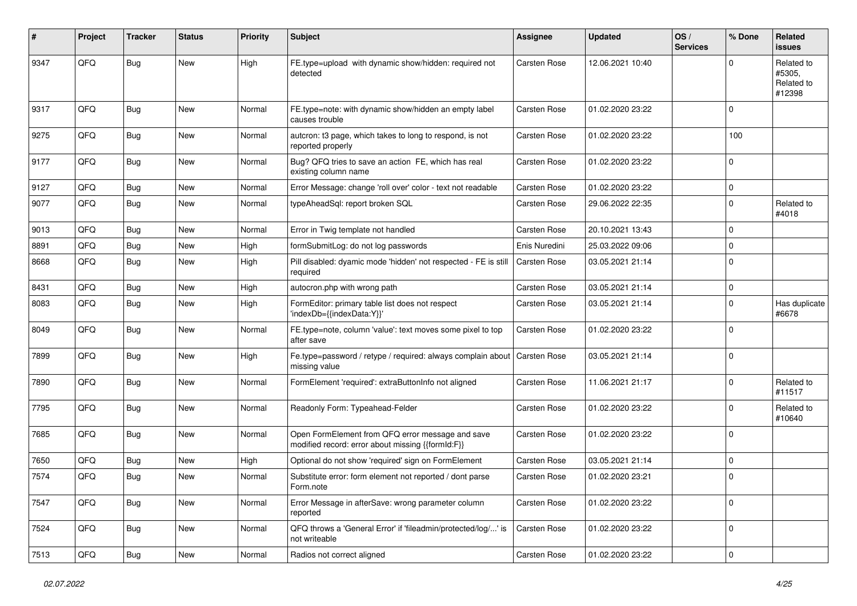| #    | Project | <b>Tracker</b> | <b>Status</b> | <b>Priority</b> | <b>Subject</b>                                                                                        | <b>Assignee</b> | <b>Updated</b>   | OS/<br><b>Services</b> | % Done    | Related<br><b>issues</b>                     |
|------|---------|----------------|---------------|-----------------|-------------------------------------------------------------------------------------------------------|-----------------|------------------|------------------------|-----------|----------------------------------------------|
| 9347 | QFQ     | Bug            | New           | High            | FE.type=upload with dynamic show/hidden: required not<br>detected                                     | Carsten Rose    | 12.06.2021 10:40 |                        | $\Omega$  | Related to<br>#5305,<br>Related to<br>#12398 |
| 9317 | QFQ     | Bug            | New           | Normal          | FE.type=note: with dynamic show/hidden an empty label<br>causes trouble                               | Carsten Rose    | 01.02.2020 23:22 |                        | $\Omega$  |                                              |
| 9275 | QFQ     | Bug            | New           | Normal          | autcron: t3 page, which takes to long to respond, is not<br>reported properly                         | Carsten Rose    | 01.02.2020 23:22 |                        | 100       |                                              |
| 9177 | QFQ     | Bug            | New           | Normal          | Bug? QFQ tries to save an action FE, which has real<br>existing column name                           | Carsten Rose    | 01.02.2020 23:22 |                        | $\Omega$  |                                              |
| 9127 | QFQ     | Bug            | New           | Normal          | Error Message: change 'roll over' color - text not readable                                           | Carsten Rose    | 01.02.2020 23:22 |                        | $\Omega$  |                                              |
| 9077 | QFQ     | Bug            | New           | Normal          | typeAheadSql: report broken SQL                                                                       | Carsten Rose    | 29.06.2022 22:35 |                        | $\Omega$  | Related to<br>#4018                          |
| 9013 | QFQ     | Bug            | New           | Normal          | Error in Twig template not handled                                                                    | Carsten Rose    | 20.10.2021 13:43 |                        | $\Omega$  |                                              |
| 8891 | QFQ     | Bug            | <b>New</b>    | High            | formSubmitLog: do not log passwords                                                                   | Enis Nuredini   | 25.03.2022 09:06 |                        | $\Omega$  |                                              |
| 8668 | QFQ     | Bug            | New           | High            | Pill disabled: dyamic mode 'hidden' not respected - FE is still<br>required                           | Carsten Rose    | 03.05.2021 21:14 |                        | $\Omega$  |                                              |
| 8431 | QFQ     | Bug            | New           | High            | autocron.php with wrong path                                                                          | Carsten Rose    | 03.05.2021 21:14 |                        | 0         |                                              |
| 8083 | QFQ     | Bug            | <b>New</b>    | High            | FormEditor: primary table list does not respect<br>'indexDb={{indexData:Y}}'                          | Carsten Rose    | 03.05.2021 21:14 |                        | $\Omega$  | Has duplicate<br>#6678                       |
| 8049 | QFQ     | Bug            | <b>New</b>    | Normal          | FE.type=note, column 'value': text moves some pixel to top<br>after save                              | Carsten Rose    | 01.02.2020 23:22 |                        | $\Omega$  |                                              |
| 7899 | QFQ     | Bug            | New           | High            | Fe.type=password / retype / required: always complain about<br>missing value                          | Carsten Rose    | 03.05.2021 21:14 |                        | $\Omega$  |                                              |
| 7890 | QFQ     | Bug            | <b>New</b>    | Normal          | FormElement 'required': extraButtonInfo not aligned                                                   | Carsten Rose    | 11.06.2021 21:17 |                        | $\Omega$  | Related to<br>#11517                         |
| 7795 | QFQ     | Bug            | <b>New</b>    | Normal          | Readonly Form: Typeahead-Felder                                                                       | Carsten Rose    | 01.02.2020 23:22 |                        | $\Omega$  | Related to<br>#10640                         |
| 7685 | QFQ     | Bug            | New           | Normal          | Open FormElement from QFQ error message and save<br>modified record: error about missing {{formId:F}} | Carsten Rose    | 01.02.2020 23:22 |                        | $\Omega$  |                                              |
| 7650 | QFQ     | <b>Bug</b>     | <b>New</b>    | High            | Optional do not show 'required' sign on FormElement                                                   | Carsten Rose    | 03.05.2021 21:14 |                        | $\Omega$  |                                              |
| 7574 | QFQ     | Bug            | <b>New</b>    | Normal          | Substitute error: form element not reported / dont parse<br>Form.note                                 | Carsten Rose    | 01.02.2020 23:21 |                        | 0         |                                              |
| 7547 | QFQ     | Bug            | New           | Normal          | Error Message in afterSave: wrong parameter column<br>reported                                        | Carsten Rose    | 01.02.2020 23:22 |                        | $\Omega$  |                                              |
| 7524 | QFQ     | <b>Bug</b>     | <b>New</b>    | Normal          | QFQ throws a 'General Error' if 'fileadmin/protected/log/' is<br>not writeable                        | Carsten Rose    | 01.02.2020 23:22 |                        | 0         |                                              |
| 7513 | QFQ     | <b>Bug</b>     | New           | Normal          | Radios not correct aligned                                                                            | Carsten Rose    | 01.02.2020 23:22 |                        | $\pmb{0}$ |                                              |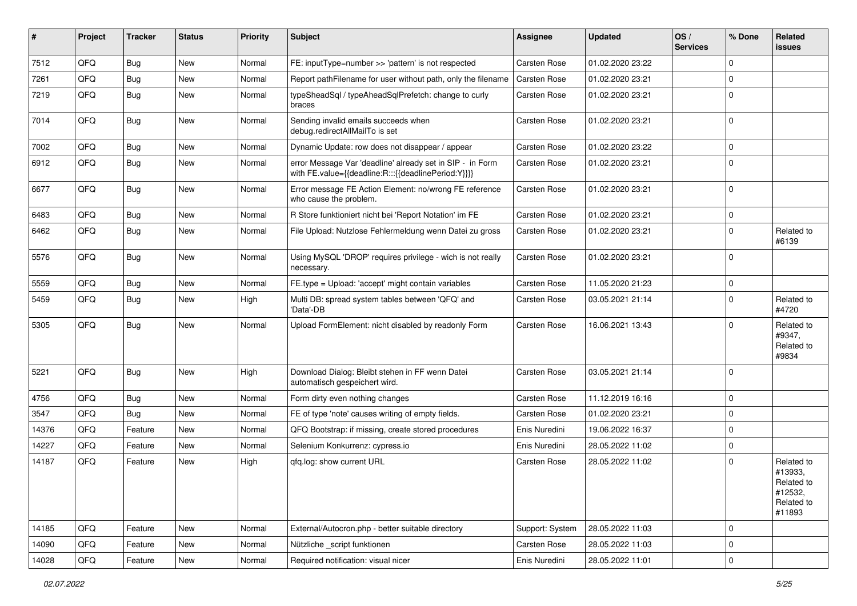| #     | Project | <b>Tracker</b> | <b>Status</b> | <b>Priority</b> | <b>Subject</b>                                                                                                   | <b>Assignee</b>     | <b>Updated</b>   | OS/<br><b>Services</b> | % Done      | Related<br><b>issues</b>                                               |
|-------|---------|----------------|---------------|-----------------|------------------------------------------------------------------------------------------------------------------|---------------------|------------------|------------------------|-------------|------------------------------------------------------------------------|
| 7512  | QFQ     | Bug            | New           | Normal          | FE: inputType=number >> 'pattern' is not respected                                                               | Carsten Rose        | 01.02.2020 23:22 |                        | $\Omega$    |                                                                        |
| 7261  | QFQ     | Bug            | New           | Normal          | Report pathFilename for user without path, only the filename                                                     | <b>Carsten Rose</b> | 01.02.2020 23:21 |                        | $\Omega$    |                                                                        |
| 7219  | QFQ     | <b>Bug</b>     | New           | Normal          | typeSheadSgl / typeAheadSglPrefetch: change to curly<br>braces                                                   | Carsten Rose        | 01.02.2020 23:21 |                        | $\Omega$    |                                                                        |
| 7014  | QFQ     | Bug            | <b>New</b>    | Normal          | Sending invalid emails succeeds when<br>debug.redirectAllMailTo is set                                           | <b>Carsten Rose</b> | 01.02.2020 23:21 |                        | $\Omega$    |                                                                        |
| 7002  | QFQ     | <b>Bug</b>     | <b>New</b>    | Normal          | Dynamic Update: row does not disappear / appear                                                                  | <b>Carsten Rose</b> | 01.02.2020 23:22 |                        | $\Omega$    |                                                                        |
| 6912  | QFQ     | <b>Bug</b>     | <b>New</b>    | Normal          | error Message Var 'deadline' already set in SIP - in Form<br>with FE.value={{deadline:R:::{{deadlinePeriod:Y}}}} | Carsten Rose        | 01.02.2020 23:21 |                        | $\Omega$    |                                                                        |
| 6677  | QFQ     | <b>Bug</b>     | <b>New</b>    | Normal          | Error message FE Action Element: no/wrong FE reference<br>who cause the problem.                                 | Carsten Rose        | 01.02.2020 23:21 |                        | $\Omega$    |                                                                        |
| 6483  | QFQ     | Bug            | <b>New</b>    | Normal          | R Store funktioniert nicht bei 'Report Notation' im FE                                                           | <b>Carsten Rose</b> | 01.02.2020 23:21 |                        | $\Omega$    |                                                                        |
| 6462  | QFQ     | <b>Bug</b>     | <b>New</b>    | Normal          | File Upload: Nutzlose Fehlermeldung wenn Datei zu gross                                                          | Carsten Rose        | 01.02.2020 23:21 |                        | $\Omega$    | Related to<br>#6139                                                    |
| 5576  | QFQ     | Bug            | New           | Normal          | Using MySQL 'DROP' requires privilege - wich is not really<br>necessary.                                         | <b>Carsten Rose</b> | 01.02.2020 23:21 |                        | $\Omega$    |                                                                        |
| 5559  | QFQ     | <b>Bug</b>     | <b>New</b>    | Normal          | FE.type = Upload: 'accept' might contain variables                                                               | <b>Carsten Rose</b> | 11.05.2020 21:23 |                        | $\mathbf 0$ |                                                                        |
| 5459  | QFQ     | Bug            | <b>New</b>    | High            | Multi DB: spread system tables between 'QFQ' and<br>'Data'-DB                                                    | Carsten Rose        | 03.05.2021 21:14 |                        | $\Omega$    | Related to<br>#4720                                                    |
| 5305  | QFQ     | Bug            | New           | Normal          | Upload FormElement: nicht disabled by readonly Form                                                              | <b>Carsten Rose</b> | 16.06.2021 13:43 |                        | $\Omega$    | Related to<br>#9347,<br>Related to<br>#9834                            |
| 5221  | QFQ     | <b>Bug</b>     | <b>New</b>    | High            | Download Dialog: Bleibt stehen in FF wenn Datei<br>automatisch gespeichert wird.                                 | Carsten Rose        | 03.05.2021 21:14 |                        | $\Omega$    |                                                                        |
| 4756  | QFQ     | Bug            | <b>New</b>    | Normal          | Form dirty even nothing changes                                                                                  | <b>Carsten Rose</b> | 11.12.2019 16:16 |                        | 0           |                                                                        |
| 3547  | QFQ     | Bug            | New           | Normal          | FE of type 'note' causes writing of empty fields.                                                                | Carsten Rose        | 01.02.2020 23:21 |                        | $\Omega$    |                                                                        |
| 14376 | QFQ     | Feature        | New           | Normal          | QFQ Bootstrap: if missing, create stored procedures                                                              | Enis Nuredini       | 19.06.2022 16:37 |                        | $\Omega$    |                                                                        |
| 14227 | QFQ     | Feature        | New           | Normal          | Selenium Konkurrenz: cypress.io                                                                                  | Enis Nuredini       | 28.05.2022 11:02 |                        | $\Omega$    |                                                                        |
| 14187 | QFQ     | Feature        | New           | High            | qfq.log: show current URL                                                                                        | <b>Carsten Rose</b> | 28.05.2022 11:02 |                        | $\Omega$    | Related to<br>#13933,<br>Related to<br>#12532,<br>Related to<br>#11893 |
| 14185 | QFQ     | Feature        | New           | Normal          | External/Autocron.php - better suitable directory                                                                | Support: System     | 28.05.2022 11:03 |                        | 0           |                                                                        |
| 14090 | QFQ     | Feature        | <b>New</b>    | Normal          | Nützliche _script funktionen                                                                                     | Carsten Rose        | 28.05.2022 11:03 |                        | 0           |                                                                        |
| 14028 | QFQ     | Feature        | New           | Normal          | Required notification: visual nicer                                                                              | Enis Nuredini       | 28.05.2022 11:01 |                        | $\mathbf 0$ |                                                                        |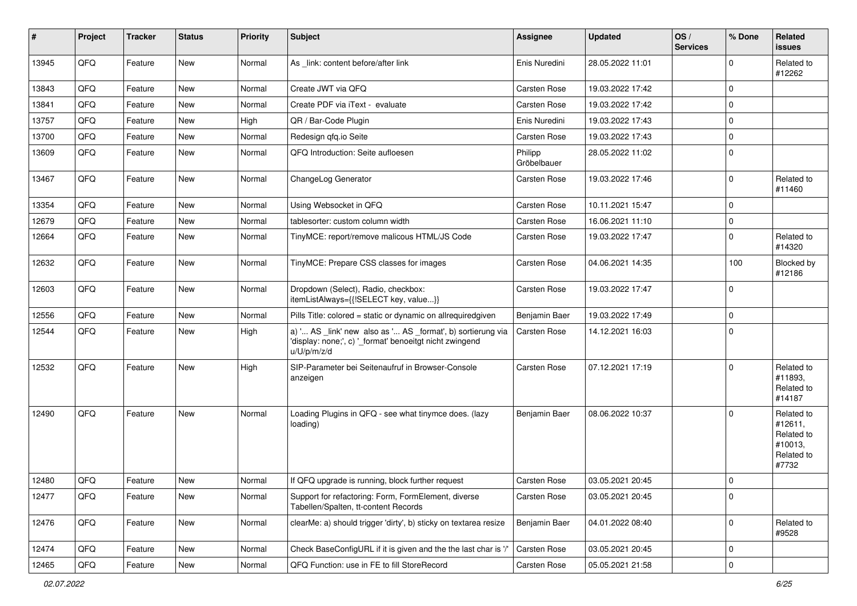| #     | Project | <b>Tracker</b> | <b>Status</b> | <b>Priority</b> | <b>Subject</b>                                                                                                                        | Assignee               | <b>Updated</b>   | OS/<br><b>Services</b> | % Done      | Related<br><b>issues</b>                                              |
|-------|---------|----------------|---------------|-----------------|---------------------------------------------------------------------------------------------------------------------------------------|------------------------|------------------|------------------------|-------------|-----------------------------------------------------------------------|
| 13945 | QFQ     | Feature        | New           | Normal          | As _link: content before/after link                                                                                                   | Enis Nuredini          | 28.05.2022 11:01 |                        | $\Omega$    | Related to<br>#12262                                                  |
| 13843 | QFQ     | Feature        | <b>New</b>    | Normal          | Create JWT via QFQ                                                                                                                    | <b>Carsten Rose</b>    | 19.03.2022 17:42 |                        | 0           |                                                                       |
| 13841 | QFQ     | Feature        | <b>New</b>    | Normal          | Create PDF via iText - evaluate                                                                                                       | <b>Carsten Rose</b>    | 19.03.2022 17:42 |                        | $\mathbf 0$ |                                                                       |
| 13757 | QFQ     | Feature        | New           | High            | QR / Bar-Code Plugin                                                                                                                  | Enis Nuredini          | 19.03.2022 17:43 |                        | $\mathbf 0$ |                                                                       |
| 13700 | QFQ     | Feature        | <b>New</b>    | Normal          | Redesign qfq.io Seite                                                                                                                 | <b>Carsten Rose</b>    | 19.03.2022 17:43 |                        | $\mathbf 0$ |                                                                       |
| 13609 | QFQ     | Feature        | New           | Normal          | QFQ Introduction: Seite aufloesen                                                                                                     | Philipp<br>Gröbelbauer | 28.05.2022 11:02 |                        | 0           |                                                                       |
| 13467 | QFQ     | Feature        | New           | Normal          | ChangeLog Generator                                                                                                                   | <b>Carsten Rose</b>    | 19.03.2022 17:46 |                        | $\mathbf 0$ | Related to<br>#11460                                                  |
| 13354 | QFQ     | Feature        | <b>New</b>    | Normal          | Using Websocket in QFQ                                                                                                                | Carsten Rose           | 10.11.2021 15:47 |                        | $\Omega$    |                                                                       |
| 12679 | QFQ     | Feature        | <b>New</b>    | Normal          | tablesorter: custom column width                                                                                                      | <b>Carsten Rose</b>    | 16.06.2021 11:10 |                        | $\mathbf 0$ |                                                                       |
| 12664 | QFQ     | Feature        | New           | Normal          | TinyMCE: report/remove malicous HTML/JS Code                                                                                          | <b>Carsten Rose</b>    | 19.03.2022 17:47 |                        | 0           | Related to<br>#14320                                                  |
| 12632 | QFQ     | Feature        | New           | Normal          | TinyMCE: Prepare CSS classes for images                                                                                               | <b>Carsten Rose</b>    | 04.06.2021 14:35 |                        | 100         | Blocked by<br>#12186                                                  |
| 12603 | QFQ     | Feature        | <b>New</b>    | Normal          | Dropdown (Select), Radio, checkbox:<br>itemListAlways={{!SELECT key, value}}                                                          | Carsten Rose           | 19.03.2022 17:47 |                        | $\mathbf 0$ |                                                                       |
| 12556 | QFQ     | Feature        | <b>New</b>    | Normal          | Pills Title: colored = static or dynamic on allrequiredgiven                                                                          | Benjamin Baer          | 19.03.2022 17:49 |                        | $\mathbf 0$ |                                                                       |
| 12544 | QFQ     | Feature        | New           | High            | a) ' AS _link' new also as ' AS _format', b) sortierung via<br>'display: none;', c) '_format' benoeitgt nicht zwingend<br>u/U/p/m/z/d | <b>Carsten Rose</b>    | 14.12.2021 16:03 |                        | $\mathbf 0$ |                                                                       |
| 12532 | QFQ     | Feature        | <b>New</b>    | High            | SIP-Parameter bei Seitenaufruf in Browser-Console<br>anzeigen                                                                         | <b>Carsten Rose</b>    | 07.12.2021 17:19 |                        | $\Omega$    | Related to<br>#11893.<br>Related to<br>#14187                         |
| 12490 | QFQ     | Feature        | New           | Normal          | Loading Plugins in QFQ - see what tinymce does. (lazy<br>loading)                                                                     | Benjamin Baer          | 08.06.2022 10:37 |                        | $\Omega$    | Related to<br>#12611,<br>Related to<br>#10013,<br>Related to<br>#7732 |
| 12480 | QFQ     | Feature        | <b>New</b>    | Normal          | If QFQ upgrade is running, block further request                                                                                      | <b>Carsten Rose</b>    | 03.05.2021 20:45 |                        | 0           |                                                                       |
| 12477 | QFQ     | Feature        | New           | Normal          | Support for refactoring: Form, FormElement, diverse<br>Tabellen/Spalten, tt-content Records                                           | Carsten Rose           | 03.05.2021 20:45 |                        | $\mathbf 0$ |                                                                       |
| 12476 | QFQ     | Feature        | New           | Normal          | clearMe: a) should trigger 'dirty', b) sticky on textarea resize                                                                      | Benjamin Baer          | 04.01.2022 08:40 |                        | $\mathbf 0$ | Related to<br>#9528                                                   |
| 12474 | QFQ     | Feature        | New           | Normal          | Check BaseConfigURL if it is given and the the last char is '/'                                                                       | Carsten Rose           | 03.05.2021 20:45 |                        | 0           |                                                                       |
| 12465 | QFG     | Feature        | New           | Normal          | QFQ Function: use in FE to fill StoreRecord                                                                                           | Carsten Rose           | 05.05.2021 21:58 |                        | $\mathbf 0$ |                                                                       |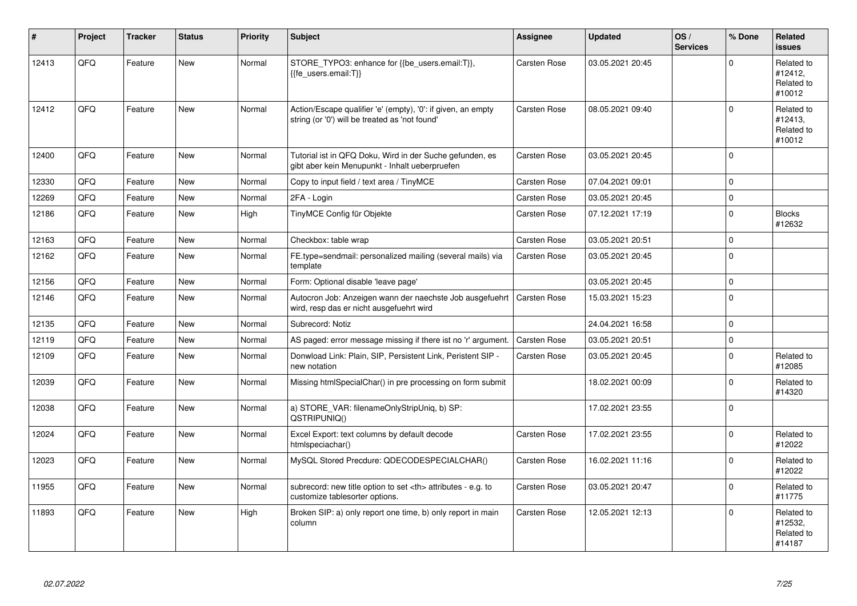| ∦     | Project | <b>Tracker</b> | <b>Status</b> | <b>Priority</b> | <b>Subject</b>                                                                                                 | <b>Assignee</b>                                        | <b>Updated</b>   | OS/<br><b>Services</b> | % Done      | <b>Related</b><br><b>issues</b>               |                      |
|-------|---------|----------------|---------------|-----------------|----------------------------------------------------------------------------------------------------------------|--------------------------------------------------------|------------------|------------------------|-------------|-----------------------------------------------|----------------------|
| 12413 | QFQ     | Feature        | <b>New</b>    | Normal          | STORE_TYPO3: enhance for {{be_users.email:T}},<br>{{fe users.email:T}}                                         | Carsten Rose                                           | 03.05.2021 20:45 |                        | $\Omega$    | Related to<br>#12412.<br>Related to<br>#10012 |                      |
| 12412 | QFQ     | Feature        | <b>New</b>    | Normal          | Action/Escape qualifier 'e' (empty), '0': if given, an empty<br>string (or '0') will be treated as 'not found' | Carsten Rose                                           | 08.05.2021 09:40 |                        | $\Omega$    | Related to<br>#12413,<br>Related to<br>#10012 |                      |
| 12400 | QFQ     | Feature        | New           | Normal          | Tutorial ist in QFQ Doku, Wird in der Suche gefunden, es<br>gibt aber kein Menupunkt - Inhalt ueberpruefen     | Carsten Rose                                           | 03.05.2021 20:45 |                        | $\Omega$    |                                               |                      |
| 12330 | QFQ     | Feature        | <b>New</b>    | Normal          | Copy to input field / text area / TinyMCE                                                                      | Carsten Rose                                           | 07.04.2021 09:01 |                        | $\mathbf 0$ |                                               |                      |
| 12269 | QFQ     | Feature        | New           | Normal          | 2FA - Login                                                                                                    | Carsten Rose                                           | 03.05.2021 20:45 |                        | $\mathbf 0$ |                                               |                      |
| 12186 | QFQ     | Feature        | <b>New</b>    | High            | TinyMCE Config für Objekte                                                                                     | Carsten Rose                                           | 07.12.2021 17:19 |                        | $\Omega$    | <b>Blocks</b><br>#12632                       |                      |
| 12163 | QFQ     | Feature        | <b>New</b>    | Normal          | Checkbox: table wrap                                                                                           | Carsten Rose                                           | 03.05.2021 20:51 |                        | $\Omega$    |                                               |                      |
| 12162 | QFQ     | Feature        | New           | Normal          | FE.type=sendmail: personalized mailing (several mails) via<br>template                                         | Carsten Rose                                           | 03.05.2021 20:45 |                        | $\Omega$    |                                               |                      |
| 12156 | QFQ     | Feature        | New           | Normal          | Form: Optional disable 'leave page'                                                                            |                                                        | 03.05.2021 20:45 |                        | $\mathbf 0$ |                                               |                      |
| 12146 | QFQ     | Feature        | New           | Normal          | Autocron Job: Anzeigen wann der naechste Job ausgefuehrt<br>wird, resp das er nicht ausgefuehrt wird           | Carsten Rose                                           | 15.03.2021 15:23 |                        | $\mathbf 0$ |                                               |                      |
| 12135 | QFQ     | Feature        | New           | Normal          | Subrecord: Notiz                                                                                               |                                                        | 24.04.2021 16:58 |                        | $\Omega$    |                                               |                      |
| 12119 | QFQ     | Feature        | New           | Normal          | AS paged: error message missing if there ist no 'r' argument.                                                  | Carsten Rose                                           | 03.05.2021 20:51 |                        | 0           |                                               |                      |
| 12109 | QFQ     | Feature        | <b>New</b>    | Normal          | Donwload Link: Plain, SIP, Persistent Link, Peristent SIP -<br>new notation                                    | Carsten Rose                                           | 03.05.2021 20:45 |                        | $\Omega$    | Related to<br>#12085                          |                      |
| 12039 | QFQ     | Feature        | New           | Normal          | Missing htmlSpecialChar() in pre processing on form submit                                                     |                                                        | 18.02.2021 00:09 |                        | $\mathbf 0$ | Related to<br>#14320                          |                      |
| 12038 | QFQ     | Feature        | <b>New</b>    | Normal          | a) STORE_VAR: filenameOnlyStripUniq, b) SP:<br>QSTRIPUNIQ()                                                    |                                                        | 17.02.2021 23:55 |                        | 0           |                                               |                      |
| 12024 | QFQ     | Feature        | New           | Normal          | Excel Export: text columns by default decode<br>htmlspeciachar()                                               | Carsten Rose                                           | 17.02.2021 23:55 |                        | $\Omega$    | Related to<br>#12022                          |                      |
| 12023 | QFQ     | Feature        | New           | Normal          | MySQL Stored Precdure: QDECODESPECIALCHAR()                                                                    | Carsten Rose                                           | 16.02.2021 11:16 |                        | $\Omega$    | Related to<br>#12022                          |                      |
| 11955 | QFQ     | Feature        | New           | Normal          | subrecord: new title option to set <th> attributes - e.g. to<br/>customize tablesorter options.</th>           | attributes - e.g. to<br>customize tablesorter options. | Carsten Rose     | 03.05.2021 20:47       |             | 0                                             | Related to<br>#11775 |
| 11893 | QFQ     | Feature        | New           | High            | Broken SIP: a) only report one time, b) only report in main<br>column                                          | Carsten Rose                                           | 12.05.2021 12:13 |                        | $\Omega$    | Related to<br>#12532,<br>Related to<br>#14187 |                      |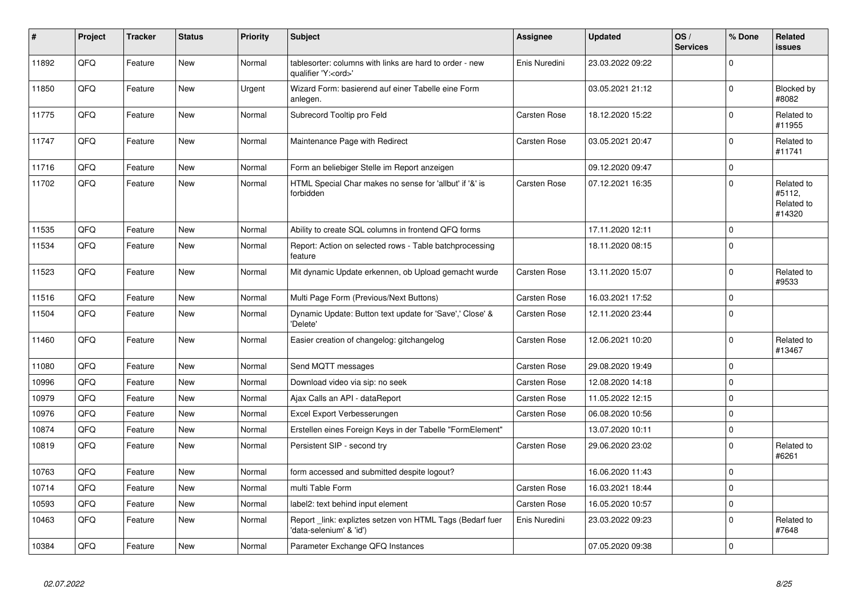| ∦     | Project | <b>Tracker</b> | <b>Status</b> | <b>Priority</b> | Subject                                                                               | Assignee            | <b>Updated</b>   | OS/<br><b>Services</b> | % Done      | Related<br>issues                            |
|-------|---------|----------------|---------------|-----------------|---------------------------------------------------------------------------------------|---------------------|------------------|------------------------|-------------|----------------------------------------------|
| 11892 | QFQ     | Feature        | <b>New</b>    | Normal          | tablesorter: columns with links are hard to order - new<br>qualifier 'Y: <ord>'</ord> | Enis Nuredini       | 23.03.2022 09:22 |                        | $\Omega$    |                                              |
| 11850 | QFQ     | Feature        | <b>New</b>    | Urgent          | Wizard Form: basierend auf einer Tabelle eine Form<br>anlegen.                        |                     | 03.05.2021 21:12 |                        | 0           | <b>Blocked by</b><br>#8082                   |
| 11775 | QFQ     | Feature        | <b>New</b>    | Normal          | Subrecord Tooltip pro Feld                                                            | Carsten Rose        | 18.12.2020 15:22 |                        | $\Omega$    | Related to<br>#11955                         |
| 11747 | QFQ     | Feature        | <b>New</b>    | Normal          | Maintenance Page with Redirect                                                        | Carsten Rose        | 03.05.2021 20:47 |                        | $\Omega$    | Related to<br>#11741                         |
| 11716 | QFQ     | Feature        | New           | Normal          | Form an beliebiger Stelle im Report anzeigen                                          |                     | 09.12.2020 09:47 |                        | $\mathbf 0$ |                                              |
| 11702 | QFQ     | Feature        | <b>New</b>    | Normal          | HTML Special Char makes no sense for 'allbut' if '&' is<br>forbidden                  | Carsten Rose        | 07.12.2021 16:35 |                        | $\Omega$    | Related to<br>#5112,<br>Related to<br>#14320 |
| 11535 | QFQ     | Feature        | <b>New</b>    | Normal          | Ability to create SQL columns in frontend QFQ forms                                   |                     | 17.11.2020 12:11 |                        | 0           |                                              |
| 11534 | QFQ     | Feature        | <b>New</b>    | Normal          | Report: Action on selected rows - Table batchprocessing<br>feature                    |                     | 18.11.2020 08:15 |                        | $\Omega$    |                                              |
| 11523 | QFQ     | Feature        | <b>New</b>    | Normal          | Mit dynamic Update erkennen, ob Upload gemacht wurde                                  | Carsten Rose        | 13.11.2020 15:07 |                        | $\mathbf 0$ | Related to<br>#9533                          |
| 11516 | QFQ     | Feature        | <b>New</b>    | Normal          | Multi Page Form (Previous/Next Buttons)                                               | Carsten Rose        | 16.03.2021 17:52 |                        | 0           |                                              |
| 11504 | QFQ     | Feature        | <b>New</b>    | Normal          | Dynamic Update: Button text update for 'Save',' Close' &<br>'Delete'                  | Carsten Rose        | 12.11.2020 23:44 |                        | $\Omega$    |                                              |
| 11460 | QFQ     | Feature        | <b>New</b>    | Normal          | Easier creation of changelog: gitchangelog                                            | Carsten Rose        | 12.06.2021 10:20 |                        | $\Omega$    | Related to<br>#13467                         |
| 11080 | QFQ     | Feature        | <b>New</b>    | Normal          | Send MQTT messages                                                                    | Carsten Rose        | 29.08.2020 19:49 |                        | $\Omega$    |                                              |
| 10996 | QFQ     | Feature        | <b>New</b>    | Normal          | Download video via sip: no seek                                                       | Carsten Rose        | 12.08.2020 14:18 |                        | $\Omega$    |                                              |
| 10979 | QFQ     | Feature        | <b>New</b>    | Normal          | Ajax Calls an API - dataReport                                                        | Carsten Rose        | 11.05.2022 12:15 |                        | $\Omega$    |                                              |
| 10976 | QFQ     | Feature        | <b>New</b>    | Normal          | Excel Export Verbesserungen                                                           | Carsten Rose        | 06.08.2020 10:56 |                        | $\Omega$    |                                              |
| 10874 | QFQ     | Feature        | <b>New</b>    | Normal          | Erstellen eines Foreign Keys in der Tabelle "FormElement"                             |                     | 13.07.2020 10:11 |                        | $\Omega$    |                                              |
| 10819 | QFQ     | Feature        | <b>New</b>    | Normal          | Persistent SIP - second try                                                           | Carsten Rose        | 29.06.2020 23:02 |                        | $\pmb{0}$   | Related to<br>#6261                          |
| 10763 | QFQ     | Feature        | <b>New</b>    | Normal          | form accessed and submitted despite logout?                                           |                     | 16.06.2020 11:43 |                        | $\mathbf 0$ |                                              |
| 10714 | QFQ     | Feature        | New           | Normal          | multi Table Form                                                                      | <b>Carsten Rose</b> | 16.03.2021 18:44 |                        | 0           |                                              |
| 10593 | QFQ     | Feature        | New           | Normal          | label2: text behind input element                                                     | <b>Carsten Rose</b> | 16.05.2020 10:57 |                        | $\Omega$    |                                              |
| 10463 | QFQ     | Feature        | <b>New</b>    | Normal          | Report link: expliztes setzen von HTML Tags (Bedarf fuer<br>'data-selenium' & 'id')   | Enis Nuredini       | 23.03.2022 09:23 |                        | $\Omega$    | Related to<br>#7648                          |
| 10384 | QFQ     | Feature        | New           | Normal          | Parameter Exchange QFQ Instances                                                      |                     | 07.05.2020 09:38 |                        | $\Omega$    |                                              |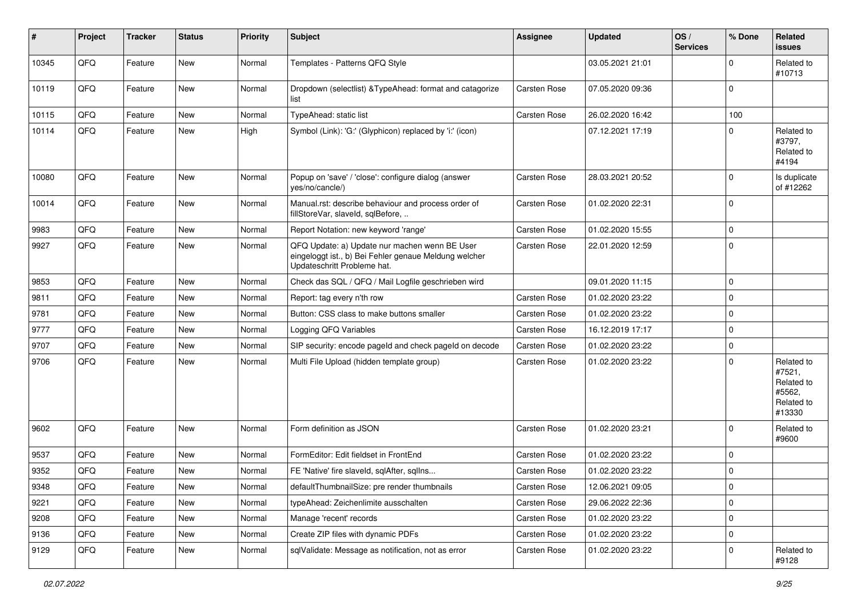| ∦     | Project        | <b>Tracker</b> | <b>Status</b> | <b>Priority</b> | Subject                                                                                                                               | <b>Assignee</b> | <b>Updated</b>   | OS/<br><b>Services</b> | % Done      | Related<br>issues                                                    |
|-------|----------------|----------------|---------------|-----------------|---------------------------------------------------------------------------------------------------------------------------------------|-----------------|------------------|------------------------|-------------|----------------------------------------------------------------------|
| 10345 | QFQ            | Feature        | New           | Normal          | Templates - Patterns QFQ Style                                                                                                        |                 | 03.05.2021 21:01 |                        | $\Omega$    | Related to<br>#10713                                                 |
| 10119 | QFQ            | Feature        | New           | Normal          | Dropdown (selectlist) & TypeAhead: format and catagorize<br>list                                                                      | Carsten Rose    | 07.05.2020 09:36 |                        | $\Omega$    |                                                                      |
| 10115 | QFQ            | Feature        | <b>New</b>    | Normal          | TypeAhead: static list                                                                                                                | Carsten Rose    | 26.02.2020 16:42 |                        | 100         |                                                                      |
| 10114 | QFQ            | Feature        | <b>New</b>    | High            | Symbol (Link): 'G:' (Glyphicon) replaced by 'i:' (icon)                                                                               |                 | 07.12.2021 17:19 |                        | $\Omega$    | Related to<br>#3797,<br>Related to<br>#4194                          |
| 10080 | QFQ            | Feature        | <b>New</b>    | Normal          | Popup on 'save' / 'close': configure dialog (answer<br>yes/no/cancle/)                                                                | Carsten Rose    | 28.03.2021 20:52 |                        | $\mathbf 0$ | Is duplicate<br>of #12262                                            |
| 10014 | QFQ            | Feature        | <b>New</b>    | Normal          | Manual.rst: describe behaviour and process order of<br>fillStoreVar, slaveId, sqlBefore,                                              | Carsten Rose    | 01.02.2020 22:31 |                        | $\Omega$    |                                                                      |
| 9983  | QFQ            | Feature        | <b>New</b>    | Normal          | Report Notation: new keyword 'range'                                                                                                  | Carsten Rose    | 01.02.2020 15:55 |                        | $\Omega$    |                                                                      |
| 9927  | QFQ            | Feature        | <b>New</b>    | Normal          | QFQ Update: a) Update nur machen wenn BE User<br>eingeloggt ist., b) Bei Fehler genaue Meldung welcher<br>Updateschritt Probleme hat. | Carsten Rose    | 22.01.2020 12:59 |                        | $\Omega$    |                                                                      |
| 9853  | QFQ            | Feature        | <b>New</b>    | Normal          | Check das SQL / QFQ / Mail Logfile geschrieben wird                                                                                   |                 | 09.01.2020 11:15 |                        | 0           |                                                                      |
| 9811  | QFQ            | Feature        | New           | Normal          | Report: tag every n'th row                                                                                                            | Carsten Rose    | 01.02.2020 23:22 |                        | $\Omega$    |                                                                      |
| 9781  | QFQ            | Feature        | <b>New</b>    | Normal          | Button: CSS class to make buttons smaller                                                                                             | Carsten Rose    | 01.02.2020 23:22 |                        | $\Omega$    |                                                                      |
| 9777  | QFQ            | Feature        | New           | Normal          | Logging QFQ Variables                                                                                                                 | Carsten Rose    | 16.12.2019 17:17 |                        | $\Omega$    |                                                                      |
| 9707  | QFQ            | Feature        | New           | Normal          | SIP security: encode pageId and check pageId on decode                                                                                | Carsten Rose    | 01.02.2020 23:22 |                        | $\mathbf 0$ |                                                                      |
| 9706  | QFQ            | Feature        | <b>New</b>    | Normal          | Multi File Upload (hidden template group)                                                                                             | Carsten Rose    | 01.02.2020 23:22 |                        | $\Omega$    | Related to<br>#7521,<br>Related to<br>#5562,<br>Related to<br>#13330 |
| 9602  | QFQ            | Feature        | <b>New</b>    | Normal          | Form definition as JSON                                                                                                               | Carsten Rose    | 01.02.2020 23:21 |                        | $\Omega$    | Related to<br>#9600                                                  |
| 9537  | QFQ            | Feature        | <b>New</b>    | Normal          | FormEditor: Edit fieldset in FrontEnd                                                                                                 | Carsten Rose    | 01.02.2020 23:22 |                        | $\Omega$    |                                                                      |
| 9352  | QFQ            | Feature        | New           | Normal          | FE 'Native' fire slaveld, sqlAfter, sqlIns                                                                                            | Carsten Rose    | 01.02.2020 23:22 |                        | $\mathbf 0$ |                                                                      |
| 9348  | $\mathsf{QFQ}$ | Feature        | New           | Normal          | defaultThumbnailSize: pre render thumbnails                                                                                           | Carsten Rose    | 12.06.2021 09:05 |                        | 0           |                                                                      |
| 9221  | QFQ            | Feature        | New           | Normal          | typeAhead: Zeichenlimite ausschalten                                                                                                  | Carsten Rose    | 29.06.2022 22:36 |                        | 0           |                                                                      |
| 9208  | QFQ            | Feature        | <b>New</b>    | Normal          | Manage 'recent' records                                                                                                               | Carsten Rose    | 01.02.2020 23:22 |                        | 0           |                                                                      |
| 9136  | QFQ            | Feature        | New           | Normal          | Create ZIP files with dynamic PDFs                                                                                                    | Carsten Rose    | 01.02.2020 23:22 |                        | 0           |                                                                      |
| 9129  | QFQ            | Feature        | New           | Normal          | sqlValidate: Message as notification, not as error                                                                                    | Carsten Rose    | 01.02.2020 23:22 |                        | 0           | Related to<br>#9128                                                  |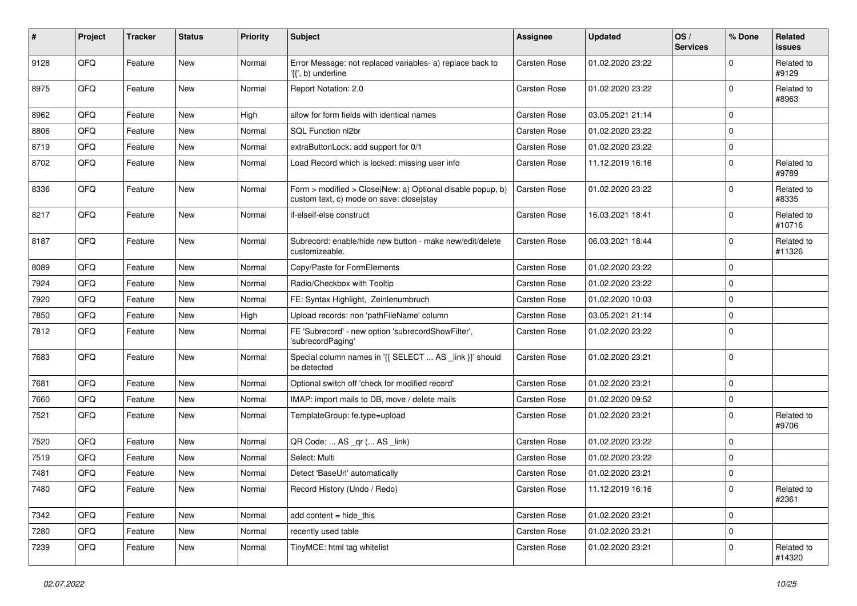| #    | Project | <b>Tracker</b> | <b>Status</b> | <b>Priority</b> | Subject                                                                                                | <b>Assignee</b> | <b>Updated</b>   | OS/<br><b>Services</b> | % Done      | Related<br><b>issues</b> |
|------|---------|----------------|---------------|-----------------|--------------------------------------------------------------------------------------------------------|-----------------|------------------|------------------------|-------------|--------------------------|
| 9128 | QFQ     | Feature        | <b>New</b>    | Normal          | Error Message: not replaced variables- a) replace back to<br>'{{', b) underline                        | Carsten Rose    | 01.02.2020 23:22 |                        | $\Omega$    | Related to<br>#9129      |
| 8975 | QFQ     | Feature        | New           | Normal          | Report Notation: 2.0                                                                                   | Carsten Rose    | 01.02.2020 23:22 |                        | $\Omega$    | Related to<br>#8963      |
| 8962 | QFQ     | Feature        | <b>New</b>    | High            | allow for form fields with identical names                                                             | Carsten Rose    | 03.05.2021 21:14 |                        | $\mathbf 0$ |                          |
| 8806 | QFQ     | Feature        | <b>New</b>    | Normal          | <b>SQL Function nl2br</b>                                                                              | Carsten Rose    | 01.02.2020 23:22 |                        | $\Omega$    |                          |
| 8719 | QFQ     | Feature        | <b>New</b>    | Normal          | extraButtonLock: add support for 0/1                                                                   | Carsten Rose    | 01.02.2020 23:22 |                        | 0           |                          |
| 8702 | QFQ     | Feature        | <b>New</b>    | Normal          | Load Record which is locked: missing user info                                                         | Carsten Rose    | 11.12.2019 16:16 |                        | $\Omega$    | Related to<br>#9789      |
| 8336 | QFQ     | Feature        | <b>New</b>    | Normal          | Form > modified > Close New: a) Optional disable popup, b)<br>custom text, c) mode on save: close stay | Carsten Rose    | 01.02.2020 23:22 |                        | $\mathbf 0$ | Related to<br>#8335      |
| 8217 | QFQ     | Feature        | New           | Normal          | if-elseif-else construct                                                                               | Carsten Rose    | 16.03.2021 18:41 |                        | $\Omega$    | Related to<br>#10716     |
| 8187 | QFQ     | Feature        | New           | Normal          | Subrecord: enable/hide new button - make new/edit/delete<br>customizeable.                             | Carsten Rose    | 06.03.2021 18:44 |                        | $\mathbf 0$ | Related to<br>#11326     |
| 8089 | QFQ     | Feature        | <b>New</b>    | Normal          | Copy/Paste for FormElements                                                                            | Carsten Rose    | 01.02.2020 23:22 |                        | $\mathbf 0$ |                          |
| 7924 | QFQ     | Feature        | <b>New</b>    | Normal          | Radio/Checkbox with Tooltip                                                                            | Carsten Rose    | 01.02.2020 23:22 |                        | $\mathbf 0$ |                          |
| 7920 | QFQ     | Feature        | New           | Normal          | FE: Syntax Highlight, Zeinlenumbruch                                                                   | Carsten Rose    | 01.02.2020 10:03 |                        | 0           |                          |
| 7850 | QFQ     | Feature        | <b>New</b>    | High            | Upload records: non 'pathFileName' column                                                              | Carsten Rose    | 03.05.2021 21:14 |                        | $\mathbf 0$ |                          |
| 7812 | QFQ     | Feature        | <b>New</b>    | Normal          | FE 'Subrecord' - new option 'subrecordShowFilter',<br>'subrecordPaging'                                | Carsten Rose    | 01.02.2020 23:22 |                        | $\Omega$    |                          |
| 7683 | QFQ     | Feature        | <b>New</b>    | Normal          | Special column names in '{{ SELECT  AS _link }}' should<br>be detected                                 | Carsten Rose    | 01.02.2020 23:21 |                        | $\mathbf 0$ |                          |
| 7681 | QFQ     | Feature        | <b>New</b>    | Normal          | Optional switch off 'check for modified record'                                                        | Carsten Rose    | 01.02.2020 23:21 |                        | $\mathbf 0$ |                          |
| 7660 | QFQ     | Feature        | <b>New</b>    | Normal          | IMAP: import mails to DB, move / delete mails                                                          | Carsten Rose    | 01.02.2020 09:52 |                        | 0           |                          |
| 7521 | QFQ     | Feature        | New           | Normal          | TemplateGroup: fe.type=upload                                                                          | Carsten Rose    | 01.02.2020 23:21 |                        | 0           | Related to<br>#9706      |
| 7520 | QFQ     | Feature        | <b>New</b>    | Normal          | QR Code:  AS _qr ( AS _link)                                                                           | Carsten Rose    | 01.02.2020 23:22 |                        | $\Omega$    |                          |
| 7519 | QFQ     | Feature        | New           | Normal          | Select: Multi                                                                                          | Carsten Rose    | 01.02.2020 23:22 |                        | $\mathbf 0$ |                          |
| 7481 | QFQ     | Feature        | New           | Normal          | Detect 'BaseUrl' automatically                                                                         | Carsten Rose    | 01.02.2020 23:21 |                        | 0           |                          |
| 7480 | QFQ     | Feature        | New           | Normal          | Record History (Undo / Redo)                                                                           | Carsten Rose    | 11.12.2019 16:16 |                        | 0           | Related to<br>#2361      |
| 7342 | QFQ     | Feature        | New           | Normal          | add content = hide_this                                                                                | Carsten Rose    | 01.02.2020 23:21 |                        | $\mathbf 0$ |                          |
| 7280 | QFQ     | Feature        | New           | Normal          | recently used table                                                                                    | Carsten Rose    | 01.02.2020 23:21 |                        | $\pmb{0}$   |                          |
| 7239 | QFQ     | Feature        | New           | Normal          | TinyMCE: html tag whitelist                                                                            | Carsten Rose    | 01.02.2020 23:21 |                        | 0           | Related to<br>#14320     |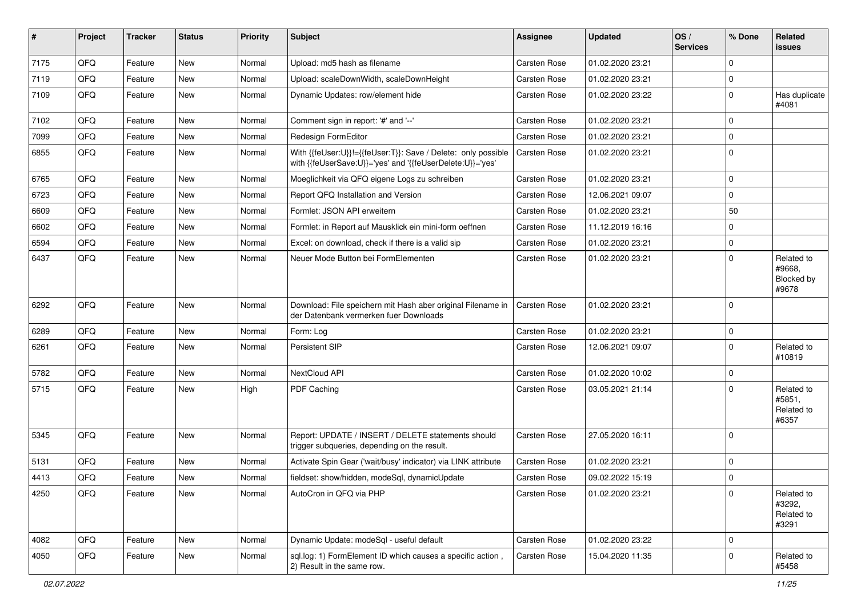| $\vert$ # | Project | <b>Tracker</b> | <b>Status</b> | <b>Priority</b> | <b>Subject</b>                                                                                                             | <b>Assignee</b> | <b>Updated</b>   | OS/<br><b>Services</b> | % Done      | Related<br>issues                           |
|-----------|---------|----------------|---------------|-----------------|----------------------------------------------------------------------------------------------------------------------------|-----------------|------------------|------------------------|-------------|---------------------------------------------|
| 7175      | QFQ     | Feature        | <b>New</b>    | Normal          | Upload: md5 hash as filename                                                                                               | Carsten Rose    | 01.02.2020 23:21 |                        | $\Omega$    |                                             |
| 7119      | QFQ     | Feature        | New           | Normal          | Upload: scaleDownWidth, scaleDownHeight                                                                                    | Carsten Rose    | 01.02.2020 23:21 |                        | $\mathbf 0$ |                                             |
| 7109      | QFQ     | Feature        | New           | Normal          | Dynamic Updates: row/element hide                                                                                          | Carsten Rose    | 01.02.2020 23:22 |                        | $\mathbf 0$ | Has duplicate<br>#4081                      |
| 7102      | QFQ     | Feature        | New           | Normal          | Comment sign in report: '#' and '--'                                                                                       | Carsten Rose    | 01.02.2020 23:21 |                        | $\Omega$    |                                             |
| 7099      | QFQ     | Feature        | <b>New</b>    | Normal          | Redesign FormEditor                                                                                                        | Carsten Rose    | 01.02.2020 23:21 |                        | $\Omega$    |                                             |
| 6855      | QFQ     | Feature        | New           | Normal          | With {{feUser:U}}!={{feUser:T}}: Save / Delete: only possible<br>with {{feUserSave:U}}='yes' and '{{feUserDelete:U}}='yes' | Carsten Rose    | 01.02.2020 23:21 |                        | $\mathbf 0$ |                                             |
| 6765      | QFQ     | Feature        | <b>New</b>    | Normal          | Moeglichkeit via QFQ eigene Logs zu schreiben                                                                              | Carsten Rose    | 01.02.2020 23:21 |                        | $\Omega$    |                                             |
| 6723      | QFQ     | Feature        | New           | Normal          | Report QFQ Installation and Version                                                                                        | Carsten Rose    | 12.06.2021 09:07 |                        | 0           |                                             |
| 6609      | QFQ     | Feature        | New           | Normal          | Formlet: JSON API erweitern                                                                                                | Carsten Rose    | 01.02.2020 23:21 |                        | 50          |                                             |
| 6602      | QFQ     | Feature        | New           | Normal          | Formlet: in Report auf Mausklick ein mini-form oeffnen                                                                     | Carsten Rose    | 11.12.2019 16:16 |                        | $\Omega$    |                                             |
| 6594      | QFQ     | Feature        | New           | Normal          | Excel: on download, check if there is a valid sip                                                                          | Carsten Rose    | 01.02.2020 23:21 |                        | $\mathbf 0$ |                                             |
| 6437      | QFQ     | Feature        | New           | Normal          | Neuer Mode Button bei FormElementen                                                                                        | Carsten Rose    | 01.02.2020 23:21 |                        | $\Omega$    | Related to<br>#9668,<br>Blocked by<br>#9678 |
| 6292      | QFQ     | Feature        | <b>New</b>    | Normal          | Download: File speichern mit Hash aber original Filename in<br>der Datenbank vermerken fuer Downloads                      | Carsten Rose    | 01.02.2020 23:21 |                        | $\mathbf 0$ |                                             |
| 6289      | QFQ     | Feature        | <b>New</b>    | Normal          | Form: Log                                                                                                                  | Carsten Rose    | 01.02.2020 23:21 |                        | $\mathbf 0$ |                                             |
| 6261      | QFQ     | Feature        | New           | Normal          | Persistent SIP                                                                                                             | Carsten Rose    | 12.06.2021 09:07 |                        | $\Omega$    | Related to<br>#10819                        |
| 5782      | QFQ     | Feature        | New           | Normal          | NextCloud API                                                                                                              | Carsten Rose    | 01.02.2020 10:02 |                        | 0           |                                             |
| 5715      | QFQ     | Feature        | <b>New</b>    | High            | PDF Caching                                                                                                                | Carsten Rose    | 03.05.2021 21:14 |                        | $\mathbf 0$ | Related to<br>#5851,<br>Related to<br>#6357 |
| 5345      | QFQ     | Feature        | New           | Normal          | Report: UPDATE / INSERT / DELETE statements should<br>trigger subgueries, depending on the result.                         | Carsten Rose    | 27.05.2020 16:11 |                        | $\Omega$    |                                             |
| 5131      | QFQ     | Feature        | New           | Normal          | Activate Spin Gear ('wait/busy' indicator) via LINK attribute                                                              | Carsten Rose    | 01.02.2020 23:21 |                        | $\Omega$    |                                             |
| 4413      | QFQ     | Feature        | New           | Normal          | fieldset: show/hidden, modeSql, dynamicUpdate                                                                              | Carsten Rose    | 09.02.2022 15:19 |                        | $\mathbf 0$ |                                             |
| 4250      | QFQ     | Feature        | New           | Normal          | AutoCron in QFQ via PHP                                                                                                    | Carsten Rose    | 01.02.2020 23:21 |                        | 0           | Related to<br>#3292,<br>Related to<br>#3291 |
| 4082      | QFQ     | Feature        | New           | Normal          | Dynamic Update: modeSql - useful default                                                                                   | Carsten Rose    | 01.02.2020 23:22 |                        | 0           |                                             |
| 4050      | QFQ     | Feature        | New           | Normal          | sql.log: 1) FormElement ID which causes a specific action,<br>2) Result in the same row.                                   | Carsten Rose    | 15.04.2020 11:35 |                        | 0           | Related to<br>#5458                         |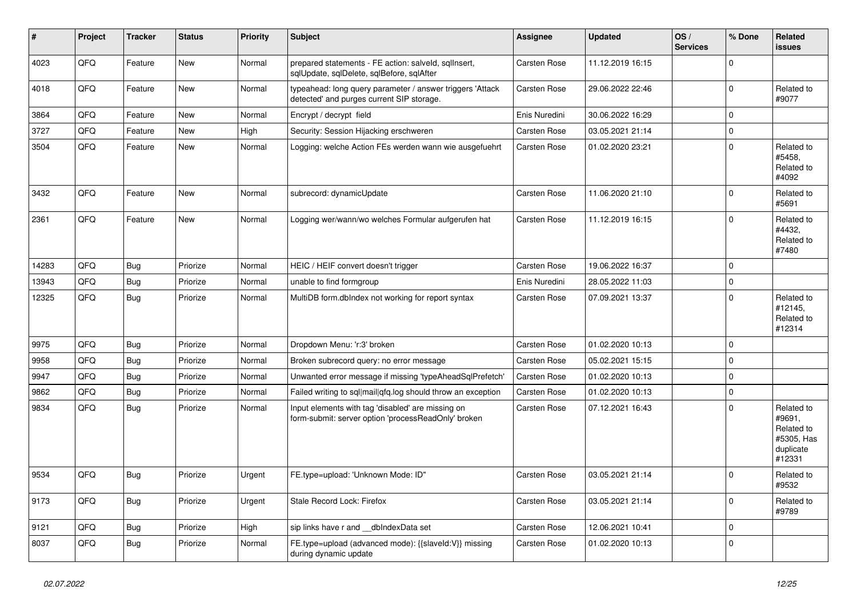| #     | Project | <b>Tracker</b> | <b>Status</b> | <b>Priority</b> | <b>Subject</b>                                                                                           | <b>Assignee</b> | <b>Updated</b>   | OS/<br><b>Services</b> | % Done       | Related<br><b>issues</b>                                                |
|-------|---------|----------------|---------------|-----------------|----------------------------------------------------------------------------------------------------------|-----------------|------------------|------------------------|--------------|-------------------------------------------------------------------------|
| 4023  | QFQ     | Feature        | <b>New</b>    | Normal          | prepared statements - FE action: salveld, sqllnsert,<br>sqlUpdate, sqlDelete, sqlBefore, sqlAfter        | Carsten Rose    | 11.12.2019 16:15 |                        | $\mathbf 0$  |                                                                         |
| 4018  | QFQ     | Feature        | <b>New</b>    | Normal          | typeahead: long query parameter / answer triggers 'Attack<br>detected' and purges current SIP storage.   | Carsten Rose    | 29.06.2022 22:46 |                        | $\mathbf 0$  | Related to<br>#9077                                                     |
| 3864  | QFQ     | Feature        | <b>New</b>    | Normal          | Encrypt / decrypt field                                                                                  | Enis Nuredini   | 30.06.2022 16:29 |                        | $\mathbf 0$  |                                                                         |
| 3727  | QFQ     | Feature        | <b>New</b>    | High            | Security: Session Hijacking erschweren                                                                   | Carsten Rose    | 03.05.2021 21:14 |                        | $\mathbf 0$  |                                                                         |
| 3504  | QFQ     | Feature        | <b>New</b>    | Normal          | Logging: welche Action FEs werden wann wie ausgefuehrt                                                   | Carsten Rose    | 01.02.2020 23:21 |                        | $\mathbf{0}$ | Related to<br>#5458.<br>Related to<br>#4092                             |
| 3432  | QFQ     | Feature        | <b>New</b>    | Normal          | subrecord: dynamicUpdate                                                                                 | Carsten Rose    | 11.06.2020 21:10 |                        | $\Omega$     | Related to<br>#5691                                                     |
| 2361  | QFQ     | Feature        | New           | Normal          | Logging wer/wann/wo welches Formular aufgerufen hat                                                      | Carsten Rose    | 11.12.2019 16:15 |                        | $\mathbf{0}$ | Related to<br>#4432,<br>Related to<br>#7480                             |
| 14283 | QFQ     | <b>Bug</b>     | Priorize      | Normal          | HEIC / HEIF convert doesn't trigger                                                                      | Carsten Rose    | 19.06.2022 16:37 |                        | $\mathbf 0$  |                                                                         |
| 13943 | QFQ     | <b>Bug</b>     | Priorize      | Normal          | unable to find formgroup                                                                                 | Enis Nuredini   | 28.05.2022 11:03 |                        | $\mathbf 0$  |                                                                         |
| 12325 | QFQ     | <b>Bug</b>     | Priorize      | Normal          | MultiDB form.dblndex not working for report syntax                                                       | Carsten Rose    | 07.09.2021 13:37 |                        | $\Omega$     | Related to<br>#12145,<br>Related to<br>#12314                           |
| 9975  | QFQ     | <b>Bug</b>     | Priorize      | Normal          | Dropdown Menu: 'r:3' broken                                                                              | Carsten Rose    | 01.02.2020 10:13 |                        | $\mathbf 0$  |                                                                         |
| 9958  | QFQ     | <b>Bug</b>     | Priorize      | Normal          | Broken subrecord query: no error message                                                                 | Carsten Rose    | 05.02.2021 15:15 |                        | $\mathbf 0$  |                                                                         |
| 9947  | QFQ     | <b>Bug</b>     | Priorize      | Normal          | Unwanted error message if missing 'typeAheadSqlPrefetch'                                                 | Carsten Rose    | 01.02.2020 10:13 |                        | $\mathbf 0$  |                                                                         |
| 9862  | QFQ     | <b>Bug</b>     | Priorize      | Normal          | Failed writing to sql mail qfq.log should throw an exception                                             | Carsten Rose    | 01.02.2020 10:13 |                        | $\mathbf 0$  |                                                                         |
| 9834  | QFQ     | <b>Bug</b>     | Priorize      | Normal          | Input elements with tag 'disabled' are missing on<br>form-submit: server option 'processReadOnly' broken | Carsten Rose    | 07.12.2021 16:43 |                        | $\mathbf 0$  | Related to<br>#9691,<br>Related to<br>#5305, Has<br>duplicate<br>#12331 |
| 9534  | QFQ     | Bug            | Priorize      | Urgent          | FE.type=upload: 'Unknown Mode: ID"                                                                       | Carsten Rose    | 03.05.2021 21:14 |                        | $\mathbf{0}$ | Related to<br>#9532                                                     |
| 9173  | QFQ     | Bug            | Priorize      | Urgent          | Stale Record Lock: Firefox                                                                               | Carsten Rose    | 03.05.2021 21:14 |                        | $\mathbf 0$  | Related to<br>#9789                                                     |
| 9121  | QFQ     | <b>Bug</b>     | Priorize      | High            | sip links have r and dblndexData set                                                                     | Carsten Rose    | 12.06.2021 10:41 |                        | $\mathbf 0$  |                                                                         |
| 8037  | QFQ     | Bug            | Priorize      | Normal          | FE.type=upload (advanced mode): {{slaveld:V}} missing<br>during dynamic update                           | Carsten Rose    | 01.02.2020 10:13 |                        | $\mathbf 0$  |                                                                         |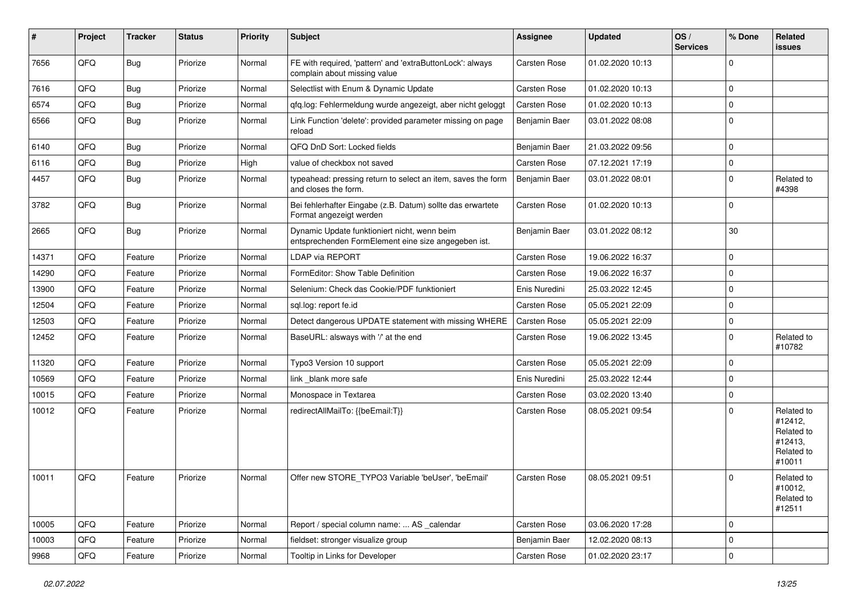| #     | Project | <b>Tracker</b> | <b>Status</b> | <b>Priority</b> | <b>Subject</b>                                                                                      | Assignee      | <b>Updated</b>   | OS/<br><b>Services</b> | % Done      | Related<br>issues                                                      |
|-------|---------|----------------|---------------|-----------------|-----------------------------------------------------------------------------------------------------|---------------|------------------|------------------------|-------------|------------------------------------------------------------------------|
| 7656  | QFQ     | Bug            | Priorize      | Normal          | FE with required, 'pattern' and 'extraButtonLock': always<br>complain about missing value           | Carsten Rose  | 01.02.2020 10:13 |                        | $\Omega$    |                                                                        |
| 7616  | QFQ     | <b>Bug</b>     | Priorize      | Normal          | Selectlist with Enum & Dynamic Update                                                               | Carsten Rose  | 01.02.2020 10:13 |                        | $\Omega$    |                                                                        |
| 6574  | QFQ     | Bug            | Priorize      | Normal          | qfq.log: Fehlermeldung wurde angezeigt, aber nicht geloggt                                          | Carsten Rose  | 01.02.2020 10:13 |                        | $\Omega$    |                                                                        |
| 6566  | QFQ     | <b>Bug</b>     | Priorize      | Normal          | Link Function 'delete': provided parameter missing on page<br>reload                                | Benjamin Baer | 03.01.2022 08:08 |                        | $\Omega$    |                                                                        |
| 6140  | QFQ     | <b>Bug</b>     | Priorize      | Normal          | QFQ DnD Sort: Locked fields                                                                         | Benjamin Baer | 21.03.2022 09:56 |                        | $\Omega$    |                                                                        |
| 6116  | QFQ     | Bug            | Priorize      | High            | value of checkbox not saved                                                                         | Carsten Rose  | 07.12.2021 17:19 |                        | $\Omega$    |                                                                        |
| 4457  | QFQ     | <b>Bug</b>     | Priorize      | Normal          | typeahead: pressing return to select an item, saves the form<br>and closes the form.                | Benjamin Baer | 03.01.2022 08:01 |                        | $\Omega$    | Related to<br>#4398                                                    |
| 3782  | QFQ     | Bug            | Priorize      | Normal          | Bei fehlerhafter Eingabe (z.B. Datum) sollte das erwartete<br>Format angezeigt werden               | Carsten Rose  | 01.02.2020 10:13 |                        | $\Omega$    |                                                                        |
| 2665  | QFQ     | Bug            | Priorize      | Normal          | Dynamic Update funktioniert nicht, wenn beim<br>entsprechenden FormElement eine size angegeben ist. | Benjamin Baer | 03.01.2022 08:12 |                        | 30          |                                                                        |
| 14371 | QFQ     | Feature        | Priorize      | Normal          | LDAP via REPORT                                                                                     | Carsten Rose  | 19.06.2022 16:37 |                        | $\Omega$    |                                                                        |
| 14290 | QFQ     | Feature        | Priorize      | Normal          | FormEditor: Show Table Definition                                                                   | Carsten Rose  | 19.06.2022 16:37 |                        | $\Omega$    |                                                                        |
| 13900 | QFQ     | Feature        | Priorize      | Normal          | Selenium: Check das Cookie/PDF funktioniert                                                         | Enis Nuredini | 25.03.2022 12:45 |                        | $\Omega$    |                                                                        |
| 12504 | QFQ     | Feature        | Priorize      | Normal          | sql.log: report fe.id                                                                               | Carsten Rose  | 05.05.2021 22:09 |                        | $\Omega$    |                                                                        |
| 12503 | QFQ     | Feature        | Priorize      | Normal          | Detect dangerous UPDATE statement with missing WHERE                                                | Carsten Rose  | 05.05.2021 22:09 |                        | $\Omega$    |                                                                        |
| 12452 | QFQ     | Feature        | Priorize      | Normal          | BaseURL: alsways with '/' at the end                                                                | Carsten Rose  | 19.06.2022 13:45 |                        | $\Omega$    | Related to<br>#10782                                                   |
| 11320 | QFQ     | Feature        | Priorize      | Normal          | Typo3 Version 10 support                                                                            | Carsten Rose  | 05.05.2021 22:09 |                        | $\Omega$    |                                                                        |
| 10569 | QFQ     | Feature        | Priorize      | Normal          | link blank more safe                                                                                | Enis Nuredini | 25.03.2022 12:44 |                        | $\Omega$    |                                                                        |
| 10015 | QFQ     | Feature        | Priorize      | Normal          | Monospace in Textarea                                                                               | Carsten Rose  | 03.02.2020 13:40 |                        | $\Omega$    |                                                                        |
| 10012 | QFQ     | Feature        | Priorize      | Normal          | redirectAllMailTo: {{beEmail:T}}                                                                    | Carsten Rose  | 08.05.2021 09:54 |                        | $\Omega$    | Related to<br>#12412,<br>Related to<br>#12413,<br>Related to<br>#10011 |
| 10011 | QFQ     | Feature        | Priorize      | Normal          | Offer new STORE TYPO3 Variable 'beUser', 'beEmail'                                                  | Carsten Rose  | 08.05.2021 09:51 |                        | $\Omega$    | Related to<br>#10012,<br>Related to<br>#12511                          |
| 10005 | QFQ     | Feature        | Priorize      | Normal          | Report / special column name:  AS _calendar                                                         | Carsten Rose  | 03.06.2020 17:28 |                        | 0           |                                                                        |
| 10003 | QFQ     | Feature        | Priorize      | Normal          | fieldset: stronger visualize group                                                                  | Benjamin Baer | 12.02.2020 08:13 |                        | $\mathbf 0$ |                                                                        |
| 9968  | QFG     | Feature        | Priorize      | Normal          | Tooltip in Links for Developer                                                                      | Carsten Rose  | 01.02.2020 23:17 |                        | 0           |                                                                        |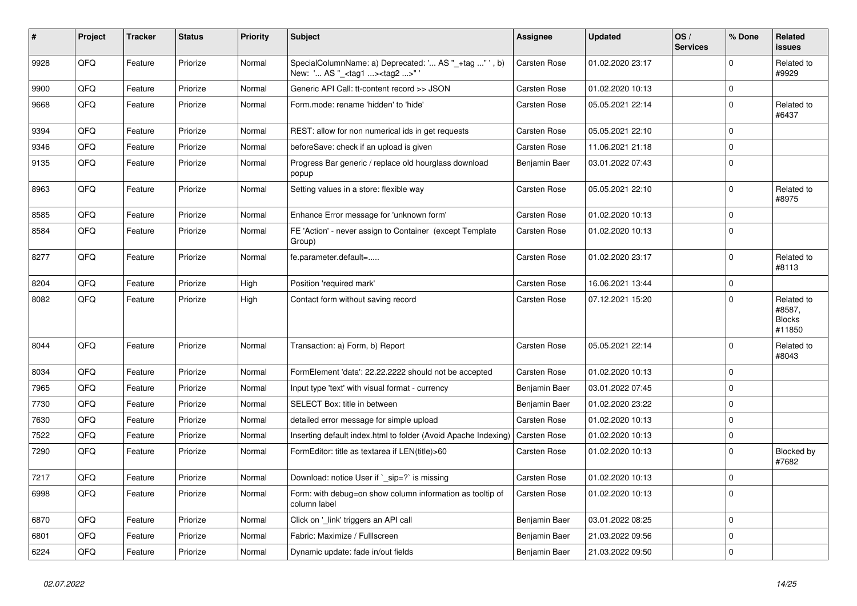| $\vert$ # | Project | <b>Tracker</b> | <b>Status</b> | <b>Priority</b> | <b>Subject</b>                                                                                    | <b>Assignee</b> | <b>Updated</b>   | OS/<br><b>Services</b> | % Done      | Related<br>issues                               |
|-----------|---------|----------------|---------------|-----------------|---------------------------------------------------------------------------------------------------|-----------------|------------------|------------------------|-------------|-------------------------------------------------|
| 9928      | QFQ     | Feature        | Priorize      | Normal          | SpecialColumnName: a) Deprecated: ' AS "_+tag " ', b)<br>New: ' AS "_ <tag1><tag2>"</tag2></tag1> | Carsten Rose    | 01.02.2020 23:17 |                        | $\Omega$    | Related to<br>#9929                             |
| 9900      | QFQ     | Feature        | Priorize      | Normal          | Generic API Call: tt-content record >> JSON                                                       | Carsten Rose    | 01.02.2020 10:13 |                        | 0           |                                                 |
| 9668      | QFQ     | Feature        | Priorize      | Normal          | Form.mode: rename 'hidden' to 'hide'                                                              | Carsten Rose    | 05.05.2021 22:14 |                        | $\Omega$    | Related to<br>#6437                             |
| 9394      | QFQ     | Feature        | Priorize      | Normal          | REST: allow for non numerical ids in get requests                                                 | Carsten Rose    | 05.05.2021 22:10 |                        | 0           |                                                 |
| 9346      | QFQ     | Feature        | Priorize      | Normal          | beforeSave: check if an upload is given                                                           | Carsten Rose    | 11.06.2021 21:18 |                        | $\Omega$    |                                                 |
| 9135      | QFQ     | Feature        | Priorize      | Normal          | Progress Bar generic / replace old hourglass download<br>popup                                    | Benjamin Baer   | 03.01.2022 07:43 |                        | $\Omega$    |                                                 |
| 8963      | QFQ     | Feature        | Priorize      | Normal          | Setting values in a store: flexible way                                                           | Carsten Rose    | 05.05.2021 22:10 |                        | $\pmb{0}$   | Related to<br>#8975                             |
| 8585      | QFQ     | Feature        | Priorize      | Normal          | Enhance Error message for 'unknown form'                                                          | Carsten Rose    | 01.02.2020 10:13 |                        | $\Omega$    |                                                 |
| 8584      | QFQ     | Feature        | Priorize      | Normal          | FE 'Action' - never assign to Container (except Template<br>Group)                                | Carsten Rose    | 01.02.2020 10:13 |                        | $\Omega$    |                                                 |
| 8277      | QFQ     | Feature        | Priorize      | Normal          | fe.parameter.default=                                                                             | Carsten Rose    | 01.02.2020 23:17 |                        | $\Omega$    | Related to<br>#8113                             |
| 8204      | QFQ     | Feature        | Priorize      | High            | Position 'required mark'                                                                          | Carsten Rose    | 16.06.2021 13:44 |                        | $\pmb{0}$   |                                                 |
| 8082      | QFQ     | Feature        | Priorize      | High            | Contact form without saving record                                                                | Carsten Rose    | 07.12.2021 15:20 |                        | $\Omega$    | Related to<br>#8587,<br><b>Blocks</b><br>#11850 |
| 8044      | QFQ     | Feature        | Priorize      | Normal          | Transaction: a) Form, b) Report                                                                   | Carsten Rose    | 05.05.2021 22:14 |                        | $\Omega$    | Related to<br>#8043                             |
| 8034      | QFQ     | Feature        | Priorize      | Normal          | FormElement 'data': 22.22.2222 should not be accepted                                             | Carsten Rose    | 01.02.2020 10:13 |                        | $\mathbf 0$ |                                                 |
| 7965      | QFQ     | Feature        | Priorize      | Normal          | Input type 'text' with visual format - currency                                                   | Benjamin Baer   | 03.01.2022 07:45 |                        | $\mathbf 0$ |                                                 |
| 7730      | QFQ     | Feature        | Priorize      | Normal          | SELECT Box: title in between                                                                      | Benjamin Baer   | 01.02.2020 23:22 |                        | $\Omega$    |                                                 |
| 7630      | QFQ     | Feature        | Priorize      | Normal          | detailed error message for simple upload                                                          | Carsten Rose    | 01.02.2020 10:13 |                        | $\Omega$    |                                                 |
| 7522      | QFQ     | Feature        | Priorize      | Normal          | Inserting default index.html to folder (Avoid Apache Indexing)                                    | Carsten Rose    | 01.02.2020 10:13 |                        | 0           |                                                 |
| 7290      | QFQ     | Feature        | Priorize      | Normal          | FormEditor: title as textarea if LEN(title)>60                                                    | Carsten Rose    | 01.02.2020 10:13 |                        | $\Omega$    | Blocked by<br>#7682                             |
| 7217      | QFQ     | Feature        | Priorize      | Normal          | Download: notice User if ` sip=?` is missing                                                      | Carsten Rose    | 01.02.2020 10:13 |                        | $\pmb{0}$   |                                                 |
| 6998      | QFQ     | Feature        | Priorize      | Normal          | Form: with debug=on show column information as tooltip of<br>column label                         | Carsten Rose    | 01.02.2020 10:13 |                        | $\Omega$    |                                                 |
| 6870      | QFQ     | Feature        | Priorize      | Normal          | Click on 'link' triggers an API call                                                              | Benjamin Baer   | 03.01.2022 08:25 |                        | $\mathbf 0$ |                                                 |
| 6801      | QFQ     | Feature        | Priorize      | Normal          | Fabric: Maximize / FullIscreen                                                                    | Benjamin Baer   | 21.03.2022 09:56 |                        | 0           |                                                 |
| 6224      | QFQ     | Feature        | Priorize      | Normal          | Dynamic update: fade in/out fields                                                                | Benjamin Baer   | 21.03.2022 09:50 |                        | $\mathbf 0$ |                                                 |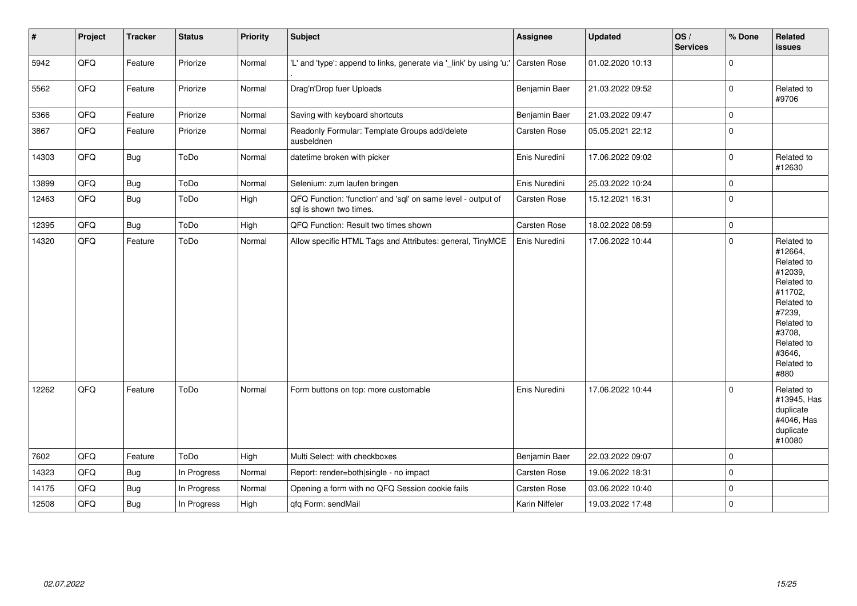| $\pmb{\#}$ | Project | <b>Tracker</b> | <b>Status</b> | <b>Priority</b> | <b>Subject</b>                                                                          | Assignee            | <b>Updated</b>   | OS/<br><b>Services</b> | % Done      | Related<br><b>issues</b>                                                                                                                                              |
|------------|---------|----------------|---------------|-----------------|-----------------------------------------------------------------------------------------|---------------------|------------------|------------------------|-------------|-----------------------------------------------------------------------------------------------------------------------------------------------------------------------|
| 5942       | QFQ     | Feature        | Priorize      | Normal          | 'L' and 'type': append to links, generate via '_link' by using 'u:'                     | Carsten Rose        | 01.02.2020 10:13 |                        | $\mathbf 0$ |                                                                                                                                                                       |
| 5562       | QFQ     | Feature        | Priorize      | Normal          | Drag'n'Drop fuer Uploads                                                                | Benjamin Baer       | 21.03.2022 09:52 |                        | $\pmb{0}$   | Related to<br>#9706                                                                                                                                                   |
| 5366       | QFQ     | Feature        | Priorize      | Normal          | Saving with keyboard shortcuts                                                          | Benjamin Baer       | 21.03.2022 09:47 |                        | $\mathbf 0$ |                                                                                                                                                                       |
| 3867       | QFQ     | Feature        | Priorize      | Normal          | Readonly Formular: Template Groups add/delete<br>ausbeldnen                             | <b>Carsten Rose</b> | 05.05.2021 22:12 |                        | $\pmb{0}$   |                                                                                                                                                                       |
| 14303      | QFQ     | <b>Bug</b>     | ToDo          | Normal          | datetime broken with picker                                                             | Enis Nuredini       | 17.06.2022 09:02 |                        | $\pmb{0}$   | Related to<br>#12630                                                                                                                                                  |
| 13899      | QFQ     | Bug            | ToDo          | Normal          | Selenium: zum laufen bringen                                                            | Enis Nuredini       | 25.03.2022 10:24 |                        | $\mathbf 0$ |                                                                                                                                                                       |
| 12463      | QFQ     | <b>Bug</b>     | ToDo          | High            | QFQ Function: 'function' and 'sql' on same level - output of<br>sql is shown two times. | Carsten Rose        | 15.12.2021 16:31 |                        | $\mathbf 0$ |                                                                                                                                                                       |
| 12395      | QFQ     | <b>Bug</b>     | ToDo          | High            | QFQ Function: Result two times shown                                                    | <b>Carsten Rose</b> | 18.02.2022 08:59 |                        | $\pmb{0}$   |                                                                                                                                                                       |
| 14320      | QFQ     | Feature        | ToDo          | Normal          | Allow specific HTML Tags and Attributes: general, TinyMCE                               | Enis Nuredini       | 17.06.2022 10:44 |                        | $\mathbf 0$ | Related to<br>#12664,<br>Related to<br>#12039,<br>Related to<br>#11702,<br>Related to<br>#7239,<br>Related to<br>#3708,<br>Related to<br>#3646,<br>Related to<br>#880 |
| 12262      | QFQ     | Feature        | ToDo          | Normal          | Form buttons on top: more customable                                                    | Enis Nuredini       | 17.06.2022 10:44 |                        | $\Omega$    | Related to<br>#13945, Has<br>duplicate<br>#4046, Has<br>duplicate<br>#10080                                                                                           |
| 7602       | QFQ     | Feature        | ToDo          | High            | Multi Select: with checkboxes                                                           | Benjamin Baer       | 22.03.2022 09:07 |                        | $\mathbf 0$ |                                                                                                                                                                       |
| 14323      | QFQ     | Bug            | In Progress   | Normal          | Report: render=both single - no impact                                                  | Carsten Rose        | 19.06.2022 18:31 |                        | $\mathbf 0$ |                                                                                                                                                                       |
| 14175      | QFQ     | Bug            | In Progress   | Normal          | Opening a form with no QFQ Session cookie fails                                         | Carsten Rose        | 03.06.2022 10:40 |                        | $\mathbf 0$ |                                                                                                                                                                       |
| 12508      | QFQ     | Bug            | In Progress   | High            | qfq Form: sendMail                                                                      | Karin Niffeler      | 19.03.2022 17:48 |                        | $\mathbf 0$ |                                                                                                                                                                       |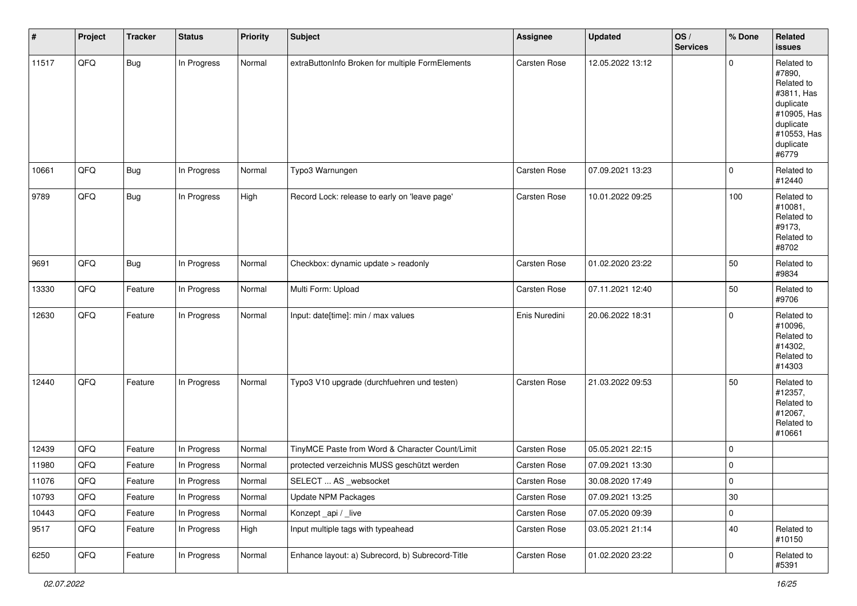| $\vert$ # | Project | <b>Tracker</b> | <b>Status</b> | <b>Priority</b> | <b>Subject</b>                                   | <b>Assignee</b> | <b>Updated</b>   | OS/<br><b>Services</b> | % Done      | Related<br>issues                                                                                                              |
|-----------|---------|----------------|---------------|-----------------|--------------------------------------------------|-----------------|------------------|------------------------|-------------|--------------------------------------------------------------------------------------------------------------------------------|
| 11517     | QFQ     | <b>Bug</b>     | In Progress   | Normal          | extraButtonInfo Broken for multiple FormElements | Carsten Rose    | 12.05.2022 13:12 |                        | $\mathbf 0$ | Related to<br>#7890,<br>Related to<br>#3811, Has<br>duplicate<br>#10905, Has<br>duplicate<br>#10553, Has<br>duplicate<br>#6779 |
| 10661     | QFQ     | Bug            | In Progress   | Normal          | Typo3 Warnungen                                  | Carsten Rose    | 07.09.2021 13:23 |                        | $\mathbf 0$ | Related to<br>#12440                                                                                                           |
| 9789      | QFO     | <b>Bug</b>     | In Progress   | High            | Record Lock: release to early on 'leave page'    | Carsten Rose    | 10.01.2022 09:25 |                        | 100         | Related to<br>#10081,<br>Related to<br>#9173,<br>Related to<br>#8702                                                           |
| 9691      | QFO     | <b>Bug</b>     | In Progress   | Normal          | Checkbox: dynamic update > readonly              | Carsten Rose    | 01.02.2020 23:22 |                        | 50          | Related to<br>#9834                                                                                                            |
| 13330     | QFQ     | Feature        | In Progress   | Normal          | Multi Form: Upload                               | Carsten Rose    | 07.11.2021 12:40 |                        | 50          | Related to<br>#9706                                                                                                            |
| 12630     | QFQ     | Feature        | In Progress   | Normal          | Input: date[time]: min / max values              | Enis Nuredini   | 20.06.2022 18:31 |                        | 0           | Related to<br>#10096,<br>Related to<br>#14302,<br>Related to<br>#14303                                                         |
| 12440     | QFQ     | Feature        | In Progress   | Normal          | Typo3 V10 upgrade (durchfuehren und testen)      | Carsten Rose    | 21.03.2022 09:53 |                        | 50          | Related to<br>#12357,<br>Related to<br>#12067,<br>Related to<br>#10661                                                         |
| 12439     | QFQ     | Feature        | In Progress   | Normal          | TinyMCE Paste from Word & Character Count/Limit  | Carsten Rose    | 05.05.2021 22:15 |                        | $\mathbf 0$ |                                                                                                                                |
| 11980     | QFQ     | Feature        | In Progress   | Normal          | protected verzeichnis MUSS geschützt werden      | Carsten Rose    | 07.09.2021 13:30 |                        | 0           |                                                                                                                                |
| 11076     | QFQ     | Feature        | In Progress   | Normal          | SELECT  AS _websocket                            | Carsten Rose    | 30.08.2020 17:49 |                        | $\mathbf 0$ |                                                                                                                                |
| 10793     | QFQ     | Feature        | In Progress   | Normal          | Update NPM Packages                              | Carsten Rose    | 07.09.2021 13:25 |                        | $30\,$      |                                                                                                                                |
| 10443     | QFQ     | Feature        | In Progress   | Normal          | Konzept_api / _live                              | Carsten Rose    | 07.05.2020 09:39 |                        | 0           |                                                                                                                                |
| 9517      | QFQ     | Feature        | In Progress   | High            | Input multiple tags with typeahead               | Carsten Rose    | 03.05.2021 21:14 |                        | $40\,$      | Related to<br>#10150                                                                                                           |
| 6250      | QFO     | Feature        | In Progress   | Normal          | Enhance layout: a) Subrecord, b) Subrecord-Title | Carsten Rose    | 01.02.2020 23:22 |                        | 0           | Related to<br>#5391                                                                                                            |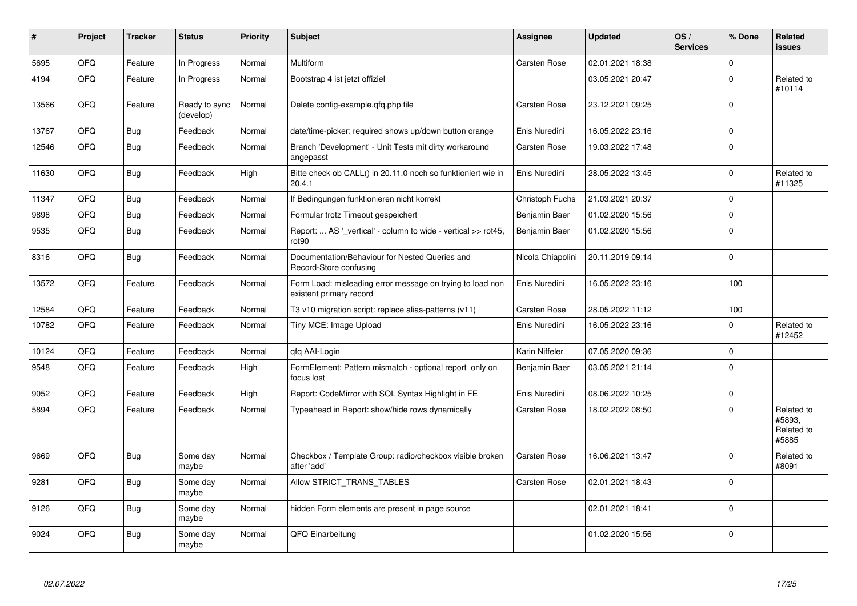| #     | Project | <b>Tracker</b> | <b>Status</b>              | <b>Priority</b> | <b>Subject</b>                                                                       | <b>Assignee</b>     | <b>Updated</b>   | OS/<br><b>Services</b> | % Done      | Related<br><b>issues</b>                    |
|-------|---------|----------------|----------------------------|-----------------|--------------------------------------------------------------------------------------|---------------------|------------------|------------------------|-------------|---------------------------------------------|
| 5695  | QFQ     | Feature        | In Progress                | Normal          | Multiform                                                                            | Carsten Rose        | 02.01.2021 18:38 |                        | $\mathbf 0$ |                                             |
| 4194  | QFQ     | Feature        | In Progress                | Normal          | Bootstrap 4 ist jetzt offiziel                                                       |                     | 03.05.2021 20:47 |                        | $\Omega$    | Related to<br>#10114                        |
| 13566 | QFQ     | Feature        | Ready to sync<br>(develop) | Normal          | Delete config-example.gfg.php file                                                   | Carsten Rose        | 23.12.2021 09:25 |                        | $\mathbf 0$ |                                             |
| 13767 | QFQ     | Bug            | Feedback                   | Normal          | date/time-picker: required shows up/down button orange                               | Enis Nuredini       | 16.05.2022 23:16 |                        | $\mathbf 0$ |                                             |
| 12546 | QFQ     | <b>Bug</b>     | Feedback                   | Normal          | Branch 'Development' - Unit Tests mit dirty workaround<br>angepasst                  | <b>Carsten Rose</b> | 19.03.2022 17:48 |                        | $\Omega$    |                                             |
| 11630 | QFQ     | <b>Bug</b>     | Feedback                   | High            | Bitte check ob CALL() in 20.11.0 noch so funktioniert wie in<br>20.4.1               | Enis Nuredini       | 28.05.2022 13:45 |                        | $\Omega$    | Related to<br>#11325                        |
| 11347 | QFQ     | <b>Bug</b>     | Feedback                   | Normal          | If Bedingungen funktionieren nicht korrekt                                           | Christoph Fuchs     | 21.03.2021 20:37 |                        | $\mathbf 0$ |                                             |
| 9898  | QFQ     | Bug            | Feedback                   | Normal          | Formular trotz Timeout gespeichert                                                   | Benjamin Baer       | 01.02.2020 15:56 |                        | $\mathbf 0$ |                                             |
| 9535  | QFQ     | <b>Bug</b>     | Feedback                   | Normal          | Report:  AS '_vertical' - column to wide - vertical >> rot45,<br>rot90               | Benjamin Baer       | 01.02.2020 15:56 |                        | $\mathbf 0$ |                                             |
| 8316  | QFQ     | Bug            | Feedback                   | Normal          | Documentation/Behaviour for Nested Queries and<br>Record-Store confusing             | Nicola Chiapolini   | 20.11.2019 09:14 |                        | $\mathbf 0$ |                                             |
| 13572 | QFQ     | Feature        | Feedback                   | Normal          | Form Load: misleading error message on trying to load non<br>existent primary record | Enis Nuredini       | 16.05.2022 23:16 |                        | 100         |                                             |
| 12584 | QFQ     | Feature        | Feedback                   | Normal          | T3 v10 migration script: replace alias-patterns (v11)                                | Carsten Rose        | 28.05.2022 11:12 |                        | 100         |                                             |
| 10782 | QFQ     | Feature        | Feedback                   | Normal          | Tiny MCE: Image Upload                                                               | Enis Nuredini       | 16.05.2022 23:16 |                        | $\Omega$    | Related to<br>#12452                        |
| 10124 | QFQ     | Feature        | Feedback                   | Normal          | qfq AAI-Login                                                                        | Karin Niffeler      | 07.05.2020 09:36 |                        | $\mathbf 0$ |                                             |
| 9548  | QFQ     | Feature        | Feedback                   | High            | FormElement: Pattern mismatch - optional report only on<br>focus lost                | Benjamin Baer       | 03.05.2021 21:14 |                        | $\mathbf 0$ |                                             |
| 9052  | QFQ     | Feature        | Feedback                   | High            | Report: CodeMirror with SQL Syntax Highlight in FE                                   | Enis Nuredini       | 08.06.2022 10:25 |                        | $\mathbf 0$ |                                             |
| 5894  | QFQ     | Feature        | Feedback                   | Normal          | Typeahead in Report: show/hide rows dynamically                                      | <b>Carsten Rose</b> | 18.02.2022 08:50 |                        | $\Omega$    | Related to<br>#5893.<br>Related to<br>#5885 |
| 9669  | QFQ     | Bug            | Some day<br>maybe          | Normal          | Checkbox / Template Group: radio/checkbox visible broken<br>after 'add'              | <b>Carsten Rose</b> | 16.06.2021 13:47 |                        | $\Omega$    | Related to<br>#8091                         |
| 9281  | QFQ     | Bug            | Some day<br>maybe          | Normal          | Allow STRICT_TRANS_TABLES                                                            | <b>Carsten Rose</b> | 02.01.2021 18:43 |                        | $\Omega$    |                                             |
| 9126  | QFQ     | <b>Bug</b>     | Some day<br>maybe          | Normal          | hidden Form elements are present in page source                                      |                     | 02.01.2021 18:41 |                        | $\Omega$    |                                             |
| 9024  | QFQ     | <b>Bug</b>     | Some day<br>maybe          | Normal          | QFQ Einarbeitung                                                                     |                     | 01.02.2020 15:56 |                        | $\Omega$    |                                             |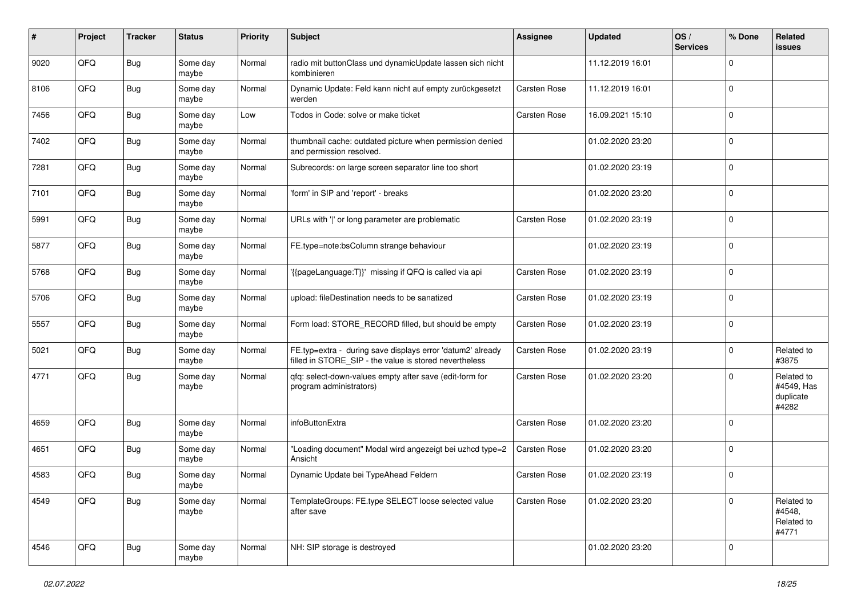| #    | Project | <b>Tracker</b> | <b>Status</b>     | <b>Priority</b> | <b>Subject</b>                                                                                                       | Assignee            | <b>Updated</b>   | OS/<br><b>Services</b> | % Done      | Related<br>issues                              |
|------|---------|----------------|-------------------|-----------------|----------------------------------------------------------------------------------------------------------------------|---------------------|------------------|------------------------|-------------|------------------------------------------------|
| 9020 | QFQ     | Bug            | Some day<br>maybe | Normal          | radio mit buttonClass und dynamicUpdate lassen sich nicht<br>kombinieren                                             |                     | 11.12.2019 16:01 |                        | $\Omega$    |                                                |
| 8106 | QFQ     | <b>Bug</b>     | Some day<br>maybe | Normal          | Dynamic Update: Feld kann nicht auf empty zurückgesetzt<br>werden                                                    | <b>Carsten Rose</b> | 11.12.2019 16:01 |                        | $\mathbf 0$ |                                                |
| 7456 | QFQ     | <b>Bug</b>     | Some day<br>maybe | Low             | Todos in Code: solve or make ticket                                                                                  | <b>Carsten Rose</b> | 16.09.2021 15:10 |                        | $\Omega$    |                                                |
| 7402 | QFQ     | <b>Bug</b>     | Some day<br>maybe | Normal          | thumbnail cache: outdated picture when permission denied<br>and permission resolved.                                 |                     | 01.02.2020 23:20 |                        | $\mathbf 0$ |                                                |
| 7281 | QFQ     | Bug            | Some day<br>maybe | Normal          | Subrecords: on large screen separator line too short                                                                 |                     | 01.02.2020 23:19 |                        | $\mathbf 0$ |                                                |
| 7101 | QFQ     | Bug            | Some day<br>maybe | Normal          | 'form' in SIP and 'report' - breaks                                                                                  |                     | 01.02.2020 23:20 |                        | $\mathbf 0$ |                                                |
| 5991 | QFQ     | Bug            | Some day<br>maybe | Normal          | URLs with ' ' or long parameter are problematic                                                                      | Carsten Rose        | 01.02.2020 23:19 |                        | $\mathbf 0$ |                                                |
| 5877 | QFQ     | <b>Bug</b>     | Some day<br>maybe | Normal          | FE.type=note:bsColumn strange behaviour                                                                              |                     | 01.02.2020 23:19 |                        | $\Omega$    |                                                |
| 5768 | QFQ     | Bug            | Some day<br>maybe | Normal          | '{{pageLanguage:T}}' missing if QFQ is called via api                                                                | <b>Carsten Rose</b> | 01.02.2020 23:19 |                        | $\mathbf 0$ |                                                |
| 5706 | QFQ     | <b>Bug</b>     | Some day<br>maybe | Normal          | upload: fileDestination needs to be sanatized                                                                        | Carsten Rose        | 01.02.2020 23:19 |                        | $\mathbf 0$ |                                                |
| 5557 | QFQ     | <b>Bug</b>     | Some day<br>maybe | Normal          | Form load: STORE_RECORD filled, but should be empty                                                                  | Carsten Rose        | 01.02.2020 23:19 |                        | $\mathbf 0$ |                                                |
| 5021 | QFQ     | Bug            | Some day<br>maybe | Normal          | FE.typ=extra - during save displays error 'datum2' already<br>filled in STORE_SIP - the value is stored nevertheless | <b>Carsten Rose</b> | 01.02.2020 23:19 |                        | $\mathbf 0$ | Related to<br>#3875                            |
| 4771 | QFQ     | <b>Bug</b>     | Some day<br>maybe | Normal          | qfq: select-down-values empty after save (edit-form for<br>program administrators)                                   | <b>Carsten Rose</b> | 01.02.2020 23:20 |                        | $\mathbf 0$ | Related to<br>#4549, Has<br>duplicate<br>#4282 |
| 4659 | QFQ     | <b>Bug</b>     | Some day<br>maybe | Normal          | infoButtonExtra                                                                                                      | Carsten Rose        | 01.02.2020 23:20 |                        | $\Omega$    |                                                |
| 4651 | QFQ     | Bug            | Some day<br>maybe | Normal          | "Loading document" Modal wird angezeigt bei uzhcd type=2<br>Ansicht                                                  | <b>Carsten Rose</b> | 01.02.2020 23:20 |                        | $\mathbf 0$ |                                                |
| 4583 | QFQ     | <b>Bug</b>     | Some day<br>maybe | Normal          | Dynamic Update bei TypeAhead Feldern                                                                                 | Carsten Rose        | 01.02.2020 23:19 |                        | $\mathbf 0$ |                                                |
| 4549 | QFQ     | <b>Bug</b>     | Some day<br>maybe | Normal          | TemplateGroups: FE.type SELECT loose selected value<br>after save                                                    | Carsten Rose        | 01.02.2020 23:20 |                        | $\mathbf 0$ | Related to<br>#4548,<br>Related to<br>#4771    |
| 4546 | QFQ     | <b>Bug</b>     | Some day<br>maybe | Normal          | NH: SIP storage is destroyed                                                                                         |                     | 01.02.2020 23:20 |                        | $\mathbf 0$ |                                                |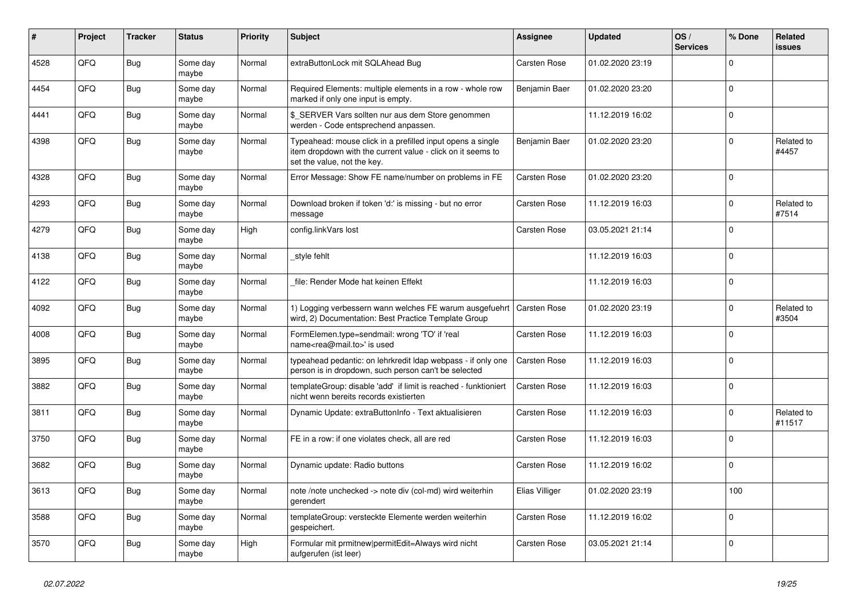| #    | Project | <b>Tracker</b> | <b>Status</b>     | <b>Priority</b> | <b>Subject</b>                                                                                                                                           | Assignee       | <b>Updated</b>   | OS/<br><b>Services</b> | % Done   | Related<br><b>issues</b> |
|------|---------|----------------|-------------------|-----------------|----------------------------------------------------------------------------------------------------------------------------------------------------------|----------------|------------------|------------------------|----------|--------------------------|
| 4528 | QFQ     | Bug            | Some day<br>maybe | Normal          | extraButtonLock mit SQLAhead Bug                                                                                                                         | Carsten Rose   | 01.02.2020 23:19 |                        | $\Omega$ |                          |
| 4454 | QFQ     | <b>Bug</b>     | Some day<br>maybe | Normal          | Required Elements: multiple elements in a row - whole row<br>marked if only one input is empty.                                                          | Benjamin Baer  | 01.02.2020 23:20 |                        | $\Omega$ |                          |
| 4441 | QFQ     | Bug            | Some day<br>maybe | Normal          | \$ SERVER Vars sollten nur aus dem Store genommen<br>werden - Code entsprechend anpassen.                                                                |                | 11.12.2019 16:02 |                        | $\Omega$ |                          |
| 4398 | QFQ     | Bug            | Some day<br>maybe | Normal          | Typeahead: mouse click in a prefilled input opens a single<br>item dropdown with the current value - click on it seems to<br>set the value, not the key. | Benjamin Baer  | 01.02.2020 23:20 |                        | $\Omega$ | Related to<br>#4457      |
| 4328 | QFQ     | Bug            | Some day<br>maybe | Normal          | Error Message: Show FE name/number on problems in FE                                                                                                     | Carsten Rose   | 01.02.2020 23:20 |                        | $\Omega$ |                          |
| 4293 | QFQ     | <b>Bug</b>     | Some day<br>maybe | Normal          | Download broken if token 'd:' is missing - but no error<br>message                                                                                       | Carsten Rose   | 11.12.2019 16:03 |                        | $\Omega$ | Related to<br>#7514      |
| 4279 | QFQ     | <b>Bug</b>     | Some day<br>maybe | High            | config.linkVars lost                                                                                                                                     | Carsten Rose   | 03.05.2021 21:14 |                        | $\Omega$ |                          |
| 4138 | QFQ     | Bug            | Some day<br>maybe | Normal          | style fehlt                                                                                                                                              |                | 11.12.2019 16:03 |                        | $\Omega$ |                          |
| 4122 | QFQ     | Bug            | Some day<br>maybe | Normal          | file: Render Mode hat keinen Effekt                                                                                                                      |                | 11.12.2019 16:03 |                        | $\Omega$ |                          |
| 4092 | QFQ     | <b>Bug</b>     | Some day<br>maybe | Normal          | 1) Logging verbessern wann welches FE warum ausgefuehrt<br>wird, 2) Documentation: Best Practice Template Group                                          | Carsten Rose   | 01.02.2020 23:19 |                        | $\Omega$ | Related to<br>#3504      |
| 4008 | QFQ     | <b>Bug</b>     | Some day<br>maybe | Normal          | FormElemen.type=sendmail: wrong 'TO' if 'real<br>name <rea@mail.to>' is used</rea@mail.to>                                                               | Carsten Rose   | 11.12.2019 16:03 |                        | $\Omega$ |                          |
| 3895 | QFQ     | Bug            | Some day<br>maybe | Normal          | typeahead pedantic: on lehrkredit Idap webpass - if only one<br>person is in dropdown, such person can't be selected                                     | Carsten Rose   | 11.12.2019 16:03 |                        | $\Omega$ |                          |
| 3882 | QFQ     | <b>Bug</b>     | Some day<br>maybe | Normal          | templateGroup: disable 'add' if limit is reached - funktioniert<br>nicht wenn bereits records existierten                                                | Carsten Rose   | 11.12.2019 16:03 |                        | $\Omega$ |                          |
| 3811 | QFQ     | Bug            | Some day<br>maybe | Normal          | Dynamic Update: extraButtonInfo - Text aktualisieren                                                                                                     | Carsten Rose   | 11.12.2019 16:03 |                        | $\Omega$ | Related to<br>#11517     |
| 3750 | QFQ     | <b>Bug</b>     | Some day<br>maybe | Normal          | FE in a row: if one violates check, all are red                                                                                                          | Carsten Rose   | 11.12.2019 16:03 |                        | $\Omega$ |                          |
| 3682 | QFQ     | Bug            | Some day<br>maybe | Normal          | Dynamic update: Radio buttons                                                                                                                            | Carsten Rose   | 11.12.2019 16:02 |                        | $\Omega$ |                          |
| 3613 | QFQ     | <b>Bug</b>     | Some day<br>maybe | Normal          | note /note unchecked -> note div (col-md) wird weiterhin<br>gerendert                                                                                    | Elias Villiger | 01.02.2020 23:19 |                        | 100      |                          |
| 3588 | QFQ     | <b>Bug</b>     | Some day<br>maybe | Normal          | templateGroup: versteckte Elemente werden weiterhin<br>gespeichert.                                                                                      | Carsten Rose   | 11.12.2019 16:02 |                        | $\Omega$ |                          |
| 3570 | QFQ     | <b>Bug</b>     | Some day<br>maybe | High            | Formular mit prmitnew permitEdit=Always wird nicht<br>aufgerufen (ist leer)                                                                              | Carsten Rose   | 03.05.2021 21:14 |                        | $\Omega$ |                          |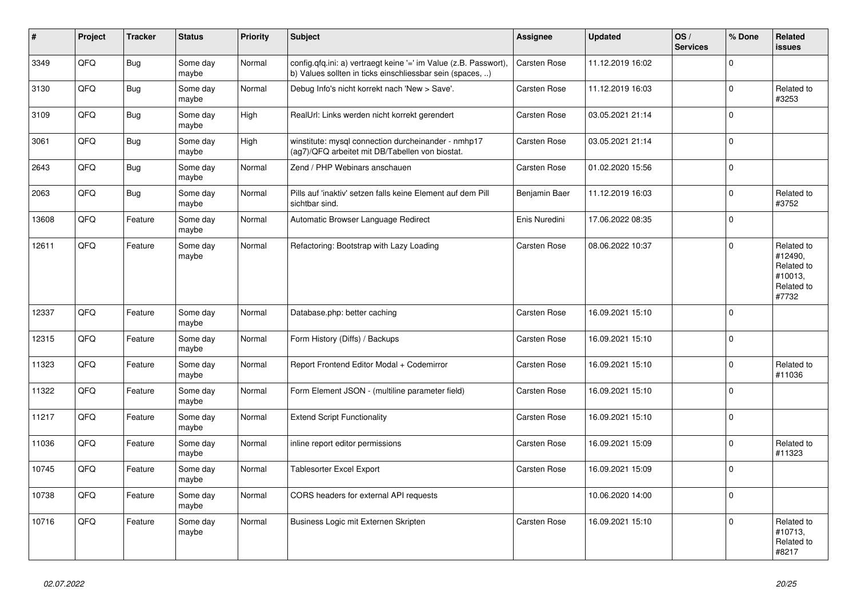| #     | Project | <b>Tracker</b> | <b>Status</b>     | <b>Priority</b> | <b>Subject</b>                                                                                                                | <b>Assignee</b>     | <b>Updated</b>   | OS/<br><b>Services</b> | % Done       | Related<br><b>issues</b>                                              |
|-------|---------|----------------|-------------------|-----------------|-------------------------------------------------------------------------------------------------------------------------------|---------------------|------------------|------------------------|--------------|-----------------------------------------------------------------------|
| 3349  | QFQ     | <b>Bug</b>     | Some day<br>maybe | Normal          | config.qfq.ini: a) vertraegt keine '=' im Value (z.B. Passwort),<br>b) Values sollten in ticks einschliessbar sein (spaces, ) | Carsten Rose        | 11.12.2019 16:02 |                        | $\Omega$     |                                                                       |
| 3130  | QFQ     | <b>Bug</b>     | Some day<br>maybe | Normal          | Debug Info's nicht korrekt nach 'New > Save'.                                                                                 | <b>Carsten Rose</b> | 11.12.2019 16:03 |                        | $\mathbf 0$  | Related to<br>#3253                                                   |
| 3109  | QFQ     | <b>Bug</b>     | Some day<br>maybe | High            | RealUrl: Links werden nicht korrekt gerendert                                                                                 | Carsten Rose        | 03.05.2021 21:14 |                        | $\mathbf 0$  |                                                                       |
| 3061  | QFQ     | <b>Bug</b>     | Some day<br>maybe | High            | winstitute: mysql connection durcheinander - nmhp17<br>(ag7)/QFQ arbeitet mit DB/Tabellen von biostat.                        | Carsten Rose        | 03.05.2021 21:14 |                        | $\Omega$     |                                                                       |
| 2643  | QFQ     | Bug            | Some day<br>maybe | Normal          | Zend / PHP Webinars anschauen                                                                                                 | Carsten Rose        | 01.02.2020 15:56 |                        | $\mathbf 0$  |                                                                       |
| 2063  | QFQ     | <b>Bug</b>     | Some day<br>maybe | Normal          | Pills auf 'inaktiv' setzen falls keine Element auf dem Pill<br>sichtbar sind.                                                 | Benjamin Baer       | 11.12.2019 16:03 |                        | $\Omega$     | Related to<br>#3752                                                   |
| 13608 | QFQ     | Feature        | Some day<br>maybe | Normal          | Automatic Browser Language Redirect                                                                                           | Enis Nuredini       | 17.06.2022 08:35 |                        | $\mathbf 0$  |                                                                       |
| 12611 | QFQ     | Feature        | Some day<br>maybe | Normal          | Refactoring: Bootstrap with Lazy Loading                                                                                      | <b>Carsten Rose</b> | 08.06.2022 10:37 |                        | $\Omega$     | Related to<br>#12490,<br>Related to<br>#10013,<br>Related to<br>#7732 |
| 12337 | QFQ     | Feature        | Some day<br>maybe | Normal          | Database.php: better caching                                                                                                  | Carsten Rose        | 16.09.2021 15:10 |                        | $\mathbf{0}$ |                                                                       |
| 12315 | QFQ     | Feature        | Some day<br>maybe | Normal          | Form History (Diffs) / Backups                                                                                                | Carsten Rose        | 16.09.2021 15:10 |                        | $\mathbf 0$  |                                                                       |
| 11323 | QFQ     | Feature        | Some day<br>maybe | Normal          | Report Frontend Editor Modal + Codemirror                                                                                     | <b>Carsten Rose</b> | 16.09.2021 15:10 |                        | $\mathbf 0$  | Related to<br>#11036                                                  |
| 11322 | QFQ     | Feature        | Some day<br>maybe | Normal          | Form Element JSON - (multiline parameter field)                                                                               | Carsten Rose        | 16.09.2021 15:10 |                        | $\Omega$     |                                                                       |
| 11217 | QFQ     | Feature        | Some day<br>maybe | Normal          | <b>Extend Script Functionality</b>                                                                                            | <b>Carsten Rose</b> | 16.09.2021 15:10 |                        | $\Omega$     |                                                                       |
| 11036 | QFQ     | Feature        | Some day<br>maybe | Normal          | inline report editor permissions                                                                                              | Carsten Rose        | 16.09.2021 15:09 |                        | $\mathbf 0$  | Related to<br>#11323                                                  |
| 10745 | QFQ     | Feature        | Some day<br>maybe | Normal          | Tablesorter Excel Export                                                                                                      | Carsten Rose        | 16.09.2021 15:09 |                        | $\Omega$     |                                                                       |
| 10738 | QFQ     | Feature        | Some day<br>maybe | Normal          | CORS headers for external API requests                                                                                        |                     | 10.06.2020 14:00 |                        | $\mathbf 0$  |                                                                       |
| 10716 | QFQ     | Feature        | Some day<br>maybe | Normal          | Business Logic mit Externen Skripten                                                                                          | Carsten Rose        | 16.09.2021 15:10 |                        | $\mathbf 0$  | Related to<br>#10713,<br>Related to<br>#8217                          |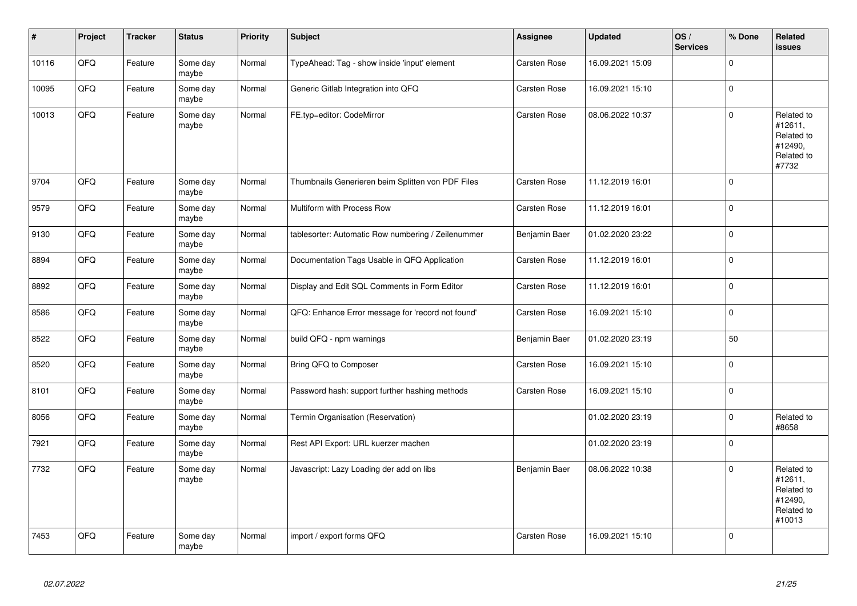| $\sharp$ | Project | <b>Tracker</b> | <b>Status</b>     | Priority | <b>Subject</b>                                     | <b>Assignee</b>     | <b>Updated</b>   | OS/<br><b>Services</b> | % Done      | Related<br>issues                                                      |
|----------|---------|----------------|-------------------|----------|----------------------------------------------------|---------------------|------------------|------------------------|-------------|------------------------------------------------------------------------|
| 10116    | QFQ     | Feature        | Some day<br>maybe | Normal   | TypeAhead: Tag - show inside 'input' element       | Carsten Rose        | 16.09.2021 15:09 |                        | $\Omega$    |                                                                        |
| 10095    | QFQ     | Feature        | Some day<br>maybe | Normal   | Generic Gitlab Integration into QFQ                | Carsten Rose        | 16.09.2021 15:10 |                        | $\mathbf 0$ |                                                                        |
| 10013    | QFQ     | Feature        | Some day<br>maybe | Normal   | FE.typ=editor: CodeMirror                          | Carsten Rose        | 08.06.2022 10:37 |                        | $\pmb{0}$   | Related to<br>#12611,<br>Related to<br>#12490,<br>Related to<br>#7732  |
| 9704     | QFQ     | Feature        | Some day<br>maybe | Normal   | Thumbnails Generieren beim Splitten von PDF Files  | <b>Carsten Rose</b> | 11.12.2019 16:01 |                        | $\mathbf 0$ |                                                                        |
| 9579     | QFQ     | Feature        | Some day<br>maybe | Normal   | Multiform with Process Row                         | Carsten Rose        | 11.12.2019 16:01 |                        | $\mathbf 0$ |                                                                        |
| 9130     | QFQ     | Feature        | Some day<br>maybe | Normal   | tablesorter: Automatic Row numbering / Zeilenummer | Benjamin Baer       | 01.02.2020 23:22 |                        | 0           |                                                                        |
| 8894     | QFQ     | Feature        | Some day<br>maybe | Normal   | Documentation Tags Usable in QFQ Application       | Carsten Rose        | 11.12.2019 16:01 |                        | $\mathbf 0$ |                                                                        |
| 8892     | QFQ     | Feature        | Some day<br>maybe | Normal   | Display and Edit SQL Comments in Form Editor       | Carsten Rose        | 11.12.2019 16:01 |                        | $\pmb{0}$   |                                                                        |
| 8586     | QFQ     | Feature        | Some day<br>maybe | Normal   | QFQ: Enhance Error message for 'record not found'  | Carsten Rose        | 16.09.2021 15:10 |                        | $\mathbf 0$ |                                                                        |
| 8522     | QFQ     | Feature        | Some day<br>maybe | Normal   | build QFQ - npm warnings                           | Benjamin Baer       | 01.02.2020 23:19 |                        | 50          |                                                                        |
| 8520     | QFQ     | Feature        | Some day<br>maybe | Normal   | Bring QFQ to Composer                              | Carsten Rose        | 16.09.2021 15:10 |                        | 0           |                                                                        |
| 8101     | QFQ     | Feature        | Some day<br>maybe | Normal   | Password hash: support further hashing methods     | Carsten Rose        | 16.09.2021 15:10 |                        | $\pmb{0}$   |                                                                        |
| 8056     | QFQ     | Feature        | Some day<br>maybe | Normal   | Termin Organisation (Reservation)                  |                     | 01.02.2020 23:19 |                        | $\pmb{0}$   | Related to<br>#8658                                                    |
| 7921     | QFQ     | Feature        | Some day<br>maybe | Normal   | Rest API Export: URL kuerzer machen                |                     | 01.02.2020 23:19 |                        | $\mathbf 0$ |                                                                        |
| 7732     | QFQ     | Feature        | Some day<br>maybe | Normal   | Javascript: Lazy Loading der add on libs           | Benjamin Baer       | 08.06.2022 10:38 |                        | $\Omega$    | Related to<br>#12611,<br>Related to<br>#12490,<br>Related to<br>#10013 |
| 7453     | QFQ     | Feature        | Some day<br>maybe | Normal   | import / export forms QFQ                          | Carsten Rose        | 16.09.2021 15:10 |                        | $\mathbf 0$ |                                                                        |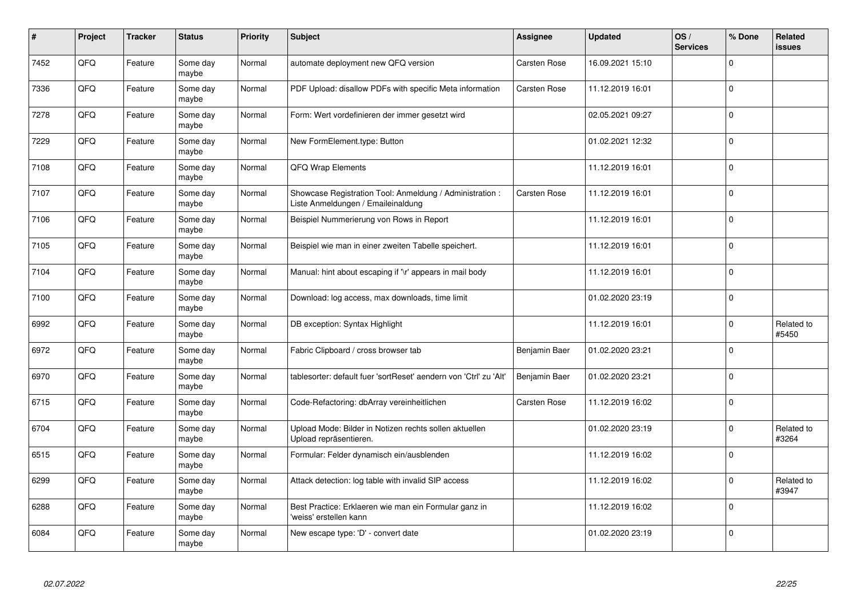| #    | Project | <b>Tracker</b> | <b>Status</b>     | <b>Priority</b> | Subject                                                                                        | <b>Assignee</b>     | <b>Updated</b>   | OS/<br><b>Services</b> | % Done      | Related<br><b>issues</b> |
|------|---------|----------------|-------------------|-----------------|------------------------------------------------------------------------------------------------|---------------------|------------------|------------------------|-------------|--------------------------|
| 7452 | QFQ     | Feature        | Some day<br>maybe | Normal          | automate deployment new QFQ version                                                            | <b>Carsten Rose</b> | 16.09.2021 15:10 |                        | $\mathbf 0$ |                          |
| 7336 | QFQ     | Feature        | Some day<br>maybe | Normal          | PDF Upload: disallow PDFs with specific Meta information                                       | <b>Carsten Rose</b> | 11.12.2019 16:01 |                        | $\mathbf 0$ |                          |
| 7278 | QFQ     | Feature        | Some day<br>maybe | Normal          | Form: Wert vordefinieren der immer gesetzt wird                                                |                     | 02.05.2021 09:27 |                        | $\mathbf 0$ |                          |
| 7229 | QFQ     | Feature        | Some day<br>maybe | Normal          | New FormElement.type: Button                                                                   |                     | 01.02.2021 12:32 |                        | $\mathbf 0$ |                          |
| 7108 | QFQ     | Feature        | Some day<br>maybe | Normal          | QFQ Wrap Elements                                                                              |                     | 11.12.2019 16:01 |                        | $\pmb{0}$   |                          |
| 7107 | QFQ     | Feature        | Some dav<br>maybe | Normal          | Showcase Registration Tool: Anmeldung / Administration :<br>Liste Anmeldungen / Emaileinaldung | <b>Carsten Rose</b> | 11.12.2019 16:01 |                        | $\mathbf 0$ |                          |
| 7106 | QFQ     | Feature        | Some day<br>maybe | Normal          | Beispiel Nummerierung von Rows in Report                                                       |                     | 11.12.2019 16:01 |                        | $\mathbf 0$ |                          |
| 7105 | QFQ     | Feature        | Some day<br>maybe | Normal          | Beispiel wie man in einer zweiten Tabelle speichert.                                           |                     | 11.12.2019 16:01 |                        | $\Omega$    |                          |
| 7104 | QFQ     | Feature        | Some day<br>maybe | Normal          | Manual: hint about escaping if '\r' appears in mail body                                       |                     | 11.12.2019 16:01 |                        | $\mathbf 0$ |                          |
| 7100 | QFQ     | Feature        | Some dav<br>maybe | Normal          | Download: log access, max downloads, time limit                                                |                     | 01.02.2020 23:19 |                        | $\mathbf 0$ |                          |
| 6992 | QFQ     | Feature        | Some day<br>maybe | Normal          | DB exception: Syntax Highlight                                                                 |                     | 11.12.2019 16:01 |                        | $\mathbf 0$ | Related to<br>#5450      |
| 6972 | QFQ     | Feature        | Some day<br>maybe | Normal          | Fabric Clipboard / cross browser tab                                                           | Benjamin Baer       | 01.02.2020 23:21 |                        | $\mathbf 0$ |                          |
| 6970 | QFQ     | Feature        | Some day<br>maybe | Normal          | tablesorter: default fuer 'sortReset' aendern von 'Ctrl' zu 'Alt'                              | Benjamin Baer       | 01.02.2020 23:21 |                        | $\pmb{0}$   |                          |
| 6715 | QFQ     | Feature        | Some day<br>maybe | Normal          | Code-Refactoring: dbArray vereinheitlichen                                                     | <b>Carsten Rose</b> | 11.12.2019 16:02 |                        | $\mathbf 0$ |                          |
| 6704 | QFQ     | Feature        | Some day<br>maybe | Normal          | Upload Mode: Bilder in Notizen rechts sollen aktuellen<br>Upload repräsentieren.               |                     | 01.02.2020 23:19 |                        | $\mathbf 0$ | Related to<br>#3264      |
| 6515 | QFQ     | Feature        | Some day<br>maybe | Normal          | Formular: Felder dynamisch ein/ausblenden                                                      |                     | 11.12.2019 16:02 |                        | $\mathbf 0$ |                          |
| 6299 | QFQ     | Feature        | Some day<br>maybe | Normal          | Attack detection: log table with invalid SIP access                                            |                     | 11.12.2019 16:02 |                        | $\mathbf 0$ | Related to<br>#3947      |
| 6288 | QFQ     | Feature        | Some day<br>maybe | Normal          | Best Practice: Erklaeren wie man ein Formular ganz in<br>'weiss' erstellen kann                |                     | 11.12.2019 16:02 |                        | $\pmb{0}$   |                          |
| 6084 | QFQ     | Feature        | Some day<br>maybe | Normal          | New escape type: 'D' - convert date                                                            |                     | 01.02.2020 23:19 |                        | $\mathbf 0$ |                          |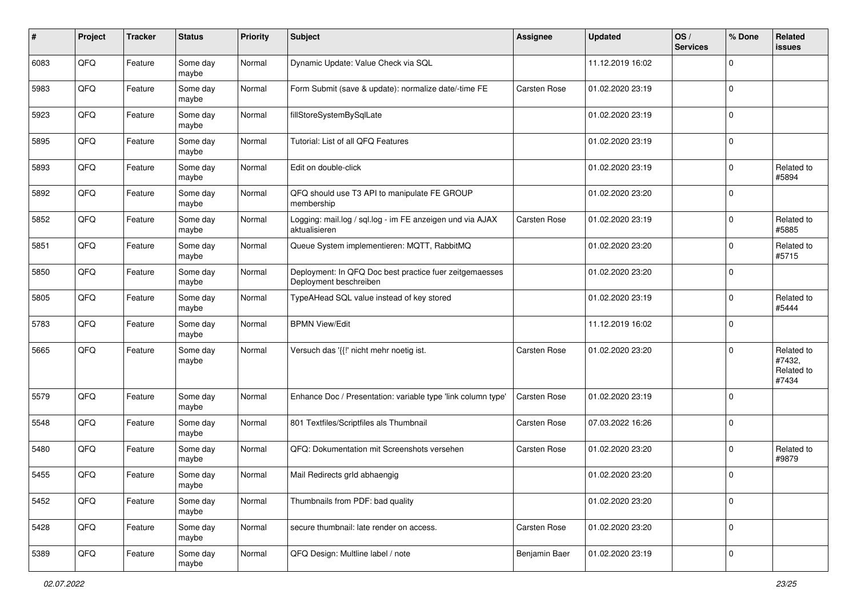| #    | Project | <b>Tracker</b> | <b>Status</b>     | <b>Priority</b> | <b>Subject</b>                                                                    | Assignee      | <b>Updated</b>   | OS/<br><b>Services</b> | % Done      | Related<br>issues                           |
|------|---------|----------------|-------------------|-----------------|-----------------------------------------------------------------------------------|---------------|------------------|------------------------|-------------|---------------------------------------------|
| 6083 | QFQ     | Feature        | Some day<br>maybe | Normal          | Dynamic Update: Value Check via SQL                                               |               | 11.12.2019 16:02 |                        | $\Omega$    |                                             |
| 5983 | QFQ     | Feature        | Some day<br>maybe | Normal          | Form Submit (save & update): normalize date/-time FE                              | Carsten Rose  | 01.02.2020 23:19 |                        | $\Omega$    |                                             |
| 5923 | QFQ     | Feature        | Some day<br>maybe | Normal          | fillStoreSystemBySqlLate                                                          |               | 01.02.2020 23:19 |                        | $\Omega$    |                                             |
| 5895 | QFQ     | Feature        | Some day<br>maybe | Normal          | Tutorial: List of all QFQ Features                                                |               | 01.02.2020 23:19 |                        | $\mathbf 0$ |                                             |
| 5893 | QFQ     | Feature        | Some day<br>maybe | Normal          | Edit on double-click                                                              |               | 01.02.2020 23:19 |                        | $\Omega$    | Related to<br>#5894                         |
| 5892 | QFQ     | Feature        | Some day<br>maybe | Normal          | QFQ should use T3 API to manipulate FE GROUP<br>membership                        |               | 01.02.2020 23:20 |                        | $\Omega$    |                                             |
| 5852 | QFQ     | Feature        | Some day<br>maybe | Normal          | Logging: mail.log / sql.log - im FE anzeigen und via AJAX<br>aktualisieren        | Carsten Rose  | 01.02.2020 23:19 |                        | $\Omega$    | Related to<br>#5885                         |
| 5851 | QFQ     | Feature        | Some day<br>maybe | Normal          | Queue System implementieren: MQTT, RabbitMQ                                       |               | 01.02.2020 23:20 |                        | $\Omega$    | Related to<br>#5715                         |
| 5850 | QFQ     | Feature        | Some day<br>maybe | Normal          | Deployment: In QFQ Doc best practice fuer zeitgemaesses<br>Deployment beschreiben |               | 01.02.2020 23:20 |                        | $\mathbf 0$ |                                             |
| 5805 | QFQ     | Feature        | Some day<br>maybe | Normal          | TypeAHead SQL value instead of key stored                                         |               | 01.02.2020 23:19 |                        | $\Omega$    | Related to<br>#5444                         |
| 5783 | QFQ     | Feature        | Some day<br>maybe | Normal          | <b>BPMN View/Edit</b>                                                             |               | 11.12.2019 16:02 |                        | $\Omega$    |                                             |
| 5665 | QFQ     | Feature        | Some day<br>maybe | Normal          | Versuch das '{{!' nicht mehr noetig ist.                                          | Carsten Rose  | 01.02.2020 23:20 |                        | $\Omega$    | Related to<br>#7432,<br>Related to<br>#7434 |
| 5579 | QFQ     | Feature        | Some day<br>maybe | Normal          | Enhance Doc / Presentation: variable type 'link column type'                      | Carsten Rose  | 01.02.2020 23:19 |                        | $\Omega$    |                                             |
| 5548 | QFQ     | Feature        | Some day<br>maybe | Normal          | 801 Textfiles/Scriptfiles als Thumbnail                                           | Carsten Rose  | 07.03.2022 16:26 |                        | $\Omega$    |                                             |
| 5480 | QFQ     | Feature        | Some day<br>maybe | Normal          | QFQ: Dokumentation mit Screenshots versehen                                       | Carsten Rose  | 01.02.2020 23:20 |                        | $\Omega$    | Related to<br>#9879                         |
| 5455 | QFQ     | Feature        | Some day<br>maybe | Normal          | Mail Redirects grld abhaengig                                                     |               | 01.02.2020 23:20 |                        | $\Omega$    |                                             |
| 5452 | QFQ     | Feature        | Some day<br>maybe | Normal          | Thumbnails from PDF: bad quality                                                  |               | 01.02.2020 23:20 |                        | $\mathbf 0$ |                                             |
| 5428 | QFQ     | Feature        | Some day<br>maybe | Normal          | secure thumbnail: late render on access.                                          | Carsten Rose  | 01.02.2020 23:20 |                        | $\mathbf 0$ |                                             |
| 5389 | QFQ     | Feature        | Some day<br>maybe | Normal          | QFQ Design: Multline label / note                                                 | Benjamin Baer | 01.02.2020 23:19 |                        | $\mathbf 0$ |                                             |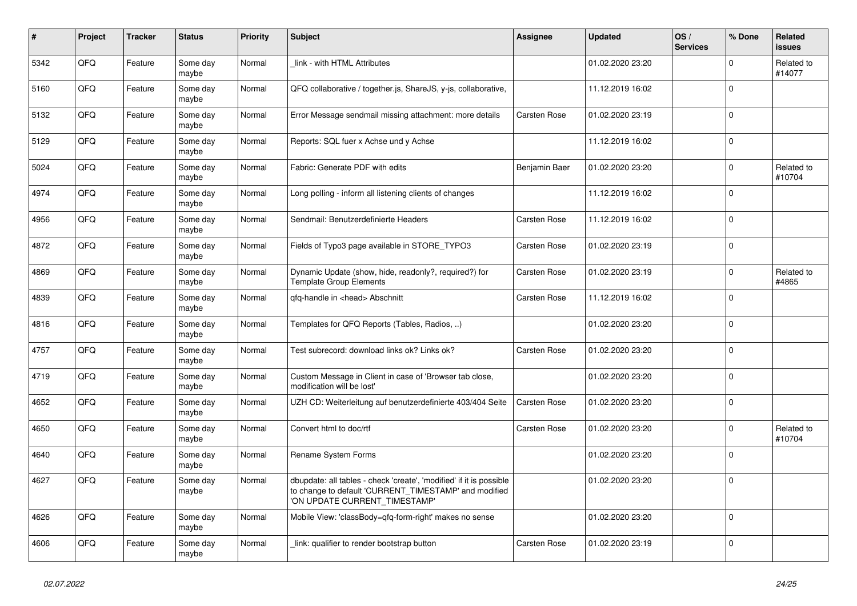| $\pmb{\#}$ | <b>Project</b> | <b>Tracker</b> | <b>Status</b>     | <b>Priority</b> | <b>Subject</b>                                                                                                                                               | Assignee      | <b>Updated</b>   | OS/<br><b>Services</b> | % Done      | Related<br><b>issues</b> |
|------------|----------------|----------------|-------------------|-----------------|--------------------------------------------------------------------------------------------------------------------------------------------------------------|---------------|------------------|------------------------|-------------|--------------------------|
| 5342       | QFQ            | Feature        | Some day<br>maybe | Normal          | link - with HTML Attributes                                                                                                                                  |               | 01.02.2020 23:20 |                        | $\Omega$    | Related to<br>#14077     |
| 5160       | QFQ            | Feature        | Some day<br>maybe | Normal          | QFQ collaborative / together.js, ShareJS, y-js, collaborative,                                                                                               |               | 11.12.2019 16:02 |                        | $\mathbf 0$ |                          |
| 5132       | QFQ            | Feature        | Some day<br>maybe | Normal          | Error Message sendmail missing attachment: more details                                                                                                      | Carsten Rose  | 01.02.2020 23:19 |                        | $\mathbf 0$ |                          |
| 5129       | QFQ            | Feature        | Some day<br>maybe | Normal          | Reports: SQL fuer x Achse und y Achse                                                                                                                        |               | 11.12.2019 16:02 |                        | $\mathbf 0$ |                          |
| 5024       | QFQ            | Feature        | Some day<br>maybe | Normal          | Fabric: Generate PDF with edits                                                                                                                              | Benjamin Baer | 01.02.2020 23:20 |                        | $\pmb{0}$   | Related to<br>#10704     |
| 4974       | QFQ            | Feature        | Some day<br>maybe | Normal          | Long polling - inform all listening clients of changes                                                                                                       |               | 11.12.2019 16:02 |                        | $\mathbf 0$ |                          |
| 4956       | QFQ            | Feature        | Some day<br>maybe | Normal          | Sendmail: Benutzerdefinierte Headers                                                                                                                         | Carsten Rose  | 11.12.2019 16:02 |                        | $\mathbf 0$ |                          |
| 4872       | QFQ            | Feature        | Some day<br>maybe | Normal          | Fields of Typo3 page available in STORE_TYPO3                                                                                                                | Carsten Rose  | 01.02.2020 23:19 |                        | $\mathbf 0$ |                          |
| 4869       | QFQ            | Feature        | Some day<br>maybe | Normal          | Dynamic Update (show, hide, readonly?, required?) for<br><b>Template Group Elements</b>                                                                      | Carsten Rose  | 01.02.2020 23:19 |                        | $\mathbf 0$ | Related to<br>#4865      |
| 4839       | QFQ            | Feature        | Some day<br>maybe | Normal          | qfq-handle in <head> Abschnitt</head>                                                                                                                        | Carsten Rose  | 11.12.2019 16:02 |                        | $\mathbf 0$ |                          |
| 4816       | QFQ            | Feature        | Some day<br>maybe | Normal          | Templates for QFQ Reports (Tables, Radios, )                                                                                                                 |               | 01.02.2020 23:20 |                        | $\mathbf 0$ |                          |
| 4757       | QFQ            | Feature        | Some day<br>maybe | Normal          | Test subrecord: download links ok? Links ok?                                                                                                                 | Carsten Rose  | 01.02.2020 23:20 |                        | $\mathbf 0$ |                          |
| 4719       | QFQ            | Feature        | Some day<br>maybe | Normal          | Custom Message in Client in case of 'Browser tab close,<br>modification will be lost'                                                                        |               | 01.02.2020 23:20 |                        | $\mathbf 0$ |                          |
| 4652       | QFQ            | Feature        | Some day<br>maybe | Normal          | UZH CD: Weiterleitung auf benutzerdefinierte 403/404 Seite                                                                                                   | Carsten Rose  | 01.02.2020 23:20 |                        | $\Omega$    |                          |
| 4650       | QFQ            | Feature        | Some day<br>maybe | Normal          | Convert html to doc/rtf                                                                                                                                      | Carsten Rose  | 01.02.2020 23:20 |                        | $\mathbf 0$ | Related to<br>#10704     |
| 4640       | QFQ            | Feature        | Some day<br>maybe | Normal          | Rename System Forms                                                                                                                                          |               | 01.02.2020 23:20 |                        | $\mathbf 0$ |                          |
| 4627       | QFQ            | Feature        | Some day<br>maybe | Normal          | dbupdate: all tables - check 'create', 'modified' if it is possible<br>to change to default 'CURRENT_TIMESTAMP' and modified<br>ON UPDATE CURRENT TIMESTAMP' |               | 01.02.2020 23:20 |                        | $\mathbf 0$ |                          |
| 4626       | QFQ            | Feature        | Some day<br>maybe | Normal          | Mobile View: 'classBody=qfq-form-right' makes no sense                                                                                                       |               | 01.02.2020 23:20 |                        | $\mathbf 0$ |                          |
| 4606       | QFQ            | Feature        | Some day<br>maybe | Normal          | link: qualifier to render bootstrap button                                                                                                                   | Carsten Rose  | 01.02.2020 23:19 |                        | $\mathbf 0$ |                          |